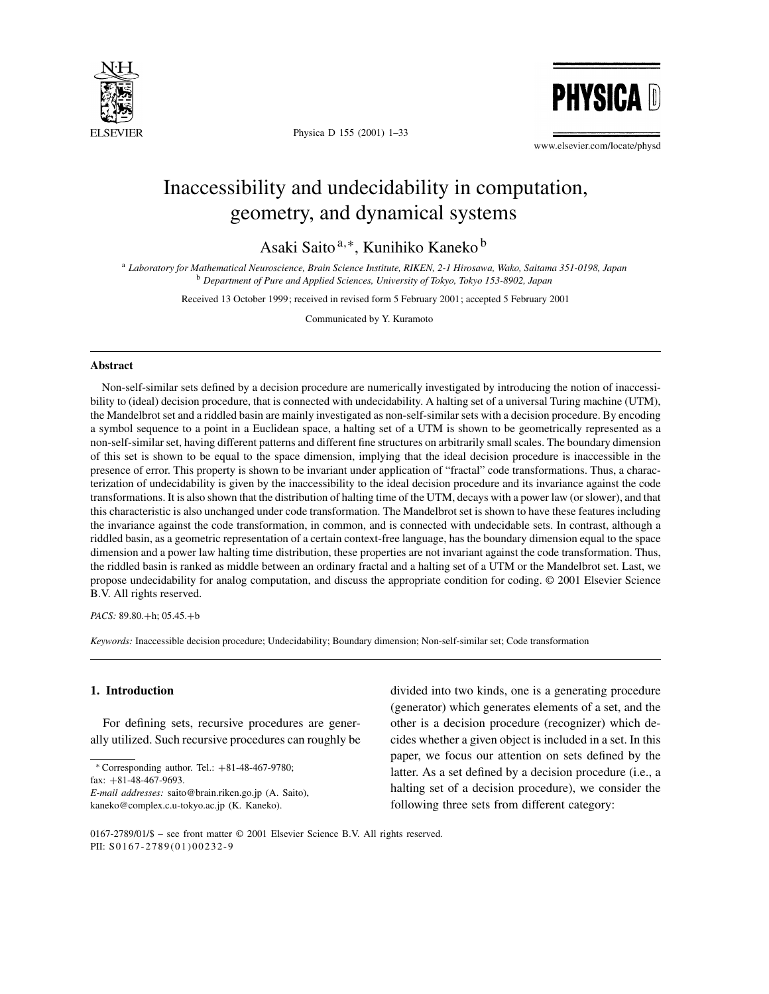

Physica D 155 (2001) 1–33



www.elsevier.com/locate/physd

# Inaccessibility and undecidability in computation, geometry, and dynamical systems

Asaki Saito <sup>a</sup>,∗, Kunihiko Kaneko <sup>b</sup>

<sup>a</sup> *Laboratory for Mathematical Neuroscience, Brain Science Institute, RIKEN, 2-1 Hirosawa, Wako, Saitama 351-0198, Japan* <sup>b</sup> *Department of Pure and Applied Sciences, University of Tokyo, Tokyo 153-8902, Japan*

Received 13 October 1999; received in revised form 5 February 2001; accepted 5 February 2001

Communicated by Y. Kuramoto

### **Abstract**

Non-self-similar sets defined by a decision procedure are numerically investigated by introducing the notion of inaccessibility to (ideal) decision procedure, that is connected with undecidability. A halting set of a universal Turing machine (UTM), the Mandelbrot set and a riddled basin are mainly investigated as non-self-similar sets with a decision procedure. By encoding a symbol sequence to a point in a Euclidean space, a halting set of a UTM is shown to be geometrically represented as a non-self-similar set, having different patterns and different fine structures on arbitrarily small scales. The boundary dimension of this set is shown to be equal to the space dimension, implying that the ideal decision procedure is inaccessible in the presence of error. This property is shown to be invariant under application of "fractal" code transformations. Thus, a characterization of undecidability is given by the inaccessibility to the ideal decision procedure and its invariance against the code transformations. It is also shown that the distribution of halting time of the UTM, decays with a power law (or slower), and that this characteristic is also unchanged under code transformation. The Mandelbrot set is shown to have these features including the invariance against the code transformation, in common, and is connected with undecidable sets. In contrast, although a riddled basin, as a geometric representation of a certain context-free language, has the boundary dimension equal to the space dimension and a power law halting time distribution, these properties are not invariant against the code transformation. Thus, the riddled basin is ranked as middle between an ordinary fractal and a halting set of a UTM or the Mandelbrot set. Last, we propose undecidability for analog computation, and discuss the appropriate condition for coding. © 2001 Elsevier Science B.V. All rights reserved.

*PACS:* 89.80.+h; 05.45.+b

*Keywords:* Inaccessible decision procedure; Undecidability; Boundary dimension; Non-self-similar set; Code transformation

# **1. Introduction**

For defining sets, recursive procedures are generally utilized. Such recursive procedures can roughly be

<sup>∗</sup> Corresponding author. Tel.: +81-48-467-9780;

fax: +81-48-467-9693.

*E-mail addresses:* saito@brain.riken.go.jp (A. Saito), kaneko@complex.c.u-tokyo.ac.jp (K. Kaneko).

divided into two kinds, one is a generating procedure (generator) which generates elements of a set, and the other is a decision procedure (recognizer) which decides whether a given object is included in a set. In this paper, we focus our attention on sets defined by the latter. As a set defined by a decision procedure (i.e., a halting set of a decision procedure), we consider the following three sets from different category:

<sup>0167-2789/01/\$ –</sup> see front matter © 2001 Elsevier Science B.V. All rights reserved. PII: S0167-2789(01)00232-9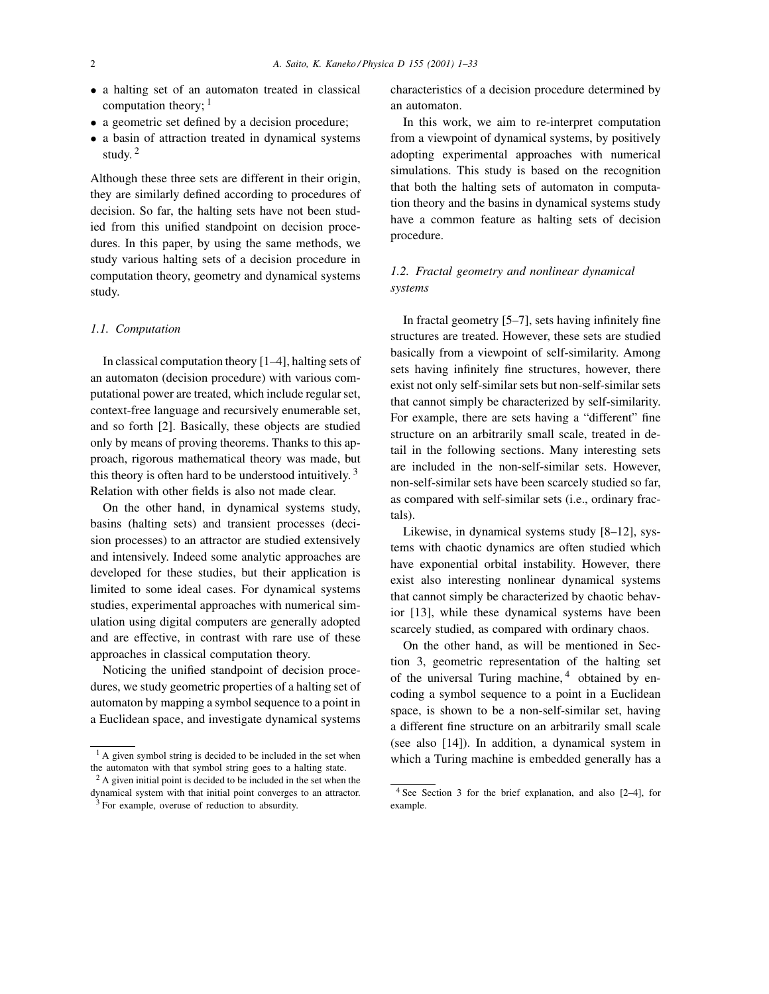- a halting set of an automaton treated in classical computation theory;  $<sup>1</sup>$ </sup>
- a geometric set defined by a decision procedure;
- a basin of attraction treated in dynamical systems study. <sup>2</sup>

Although these three sets are different in their origin, they are similarly defined according to procedures of decision. So far, the halting sets have not been studied from this unified standpoint on decision procedures. In this paper, by using the same methods, we study various halting sets of a decision procedure in computation theory, geometry and dynamical systems study.

### *1.1. Computation*

In classical computation theory [1–4], halting sets of an automaton (decision procedure) with various computational power are treated, which include regular set, context-free language and recursively enumerable set, and so forth [2]. Basically, these objects are studied only by means of proving theorems. Thanks to this approach, rigorous mathematical theory was made, but this theory is often hard to be understood intuitively.<sup>3</sup> Relation with other fields is also not made clear.

On the other hand, in dynamical systems study, basins (halting sets) and transient processes (decision processes) to an attractor are studied extensively and intensively. Indeed some analytic approaches are developed for these studies, but their application is limited to some ideal cases. For dynamical systems studies, experimental approaches with numerical simulation using digital computers are generally adopted and are effective, in contrast with rare use of these approaches in classical computation theory.

Noticing the unified standpoint of decision procedures, we study geometric properties of a halting set of automaton by mapping a symbol sequence to a point in a Euclidean space, and investigate dynamical systems

characteristics of a decision procedure determined by an automaton.

In this work, we aim to re-interpret computation from a viewpoint of dynamical systems, by positively adopting experimental approaches with numerical simulations. This study is based on the recognition that both the halting sets of automaton in computation theory and the basins in dynamical systems study have a common feature as halting sets of decision procedure.

# *1.2. Fractal geometry and nonlinear dynamical systems*

In fractal geometry [5–7], sets having infinitely fine structures are treated. However, these sets are studied basically from a viewpoint of self-similarity. Among sets having infinitely fine structures, however, there exist not only self-similar sets but non-self-similar sets that cannot simply be characterized by self-similarity. For example, there are sets having a "different" fine structure on an arbitrarily small scale, treated in detail in the following sections. Many interesting sets are included in the non-self-similar sets. However, non-self-similar sets have been scarcely studied so far, as compared with self-similar sets (i.e., ordinary fractals).

Likewise, in dynamical systems study [8–12], systems with chaotic dynamics are often studied which have exponential orbital instability. However, there exist also interesting nonlinear dynamical systems that cannot simply be characterized by chaotic behavior [13], while these dynamical systems have been scarcely studied, as compared with ordinary chaos.

On the other hand, as will be mentioned in Section 3, geometric representation of the halting set of the universal Turing machine,  $4$  obtained by encoding a symbol sequence to a point in a Euclidean space, is shown to be a non-self-similar set, having a different fine structure on an arbitrarily small scale (see also [14]). In addition, a dynamical system in which a Turing machine is embedded generally has a

<sup>&</sup>lt;sup>1</sup> A given symbol string is decided to be included in the set when the automaton with that symbol string goes to a halting state.

<sup>&</sup>lt;sup>2</sup> A given initial point is decided to be included in the set when the dynamical system with that initial point converges to an attractor.

<sup>&</sup>lt;sup>3</sup> For example, overuse of reduction to absurdity.

<sup>4</sup> See Section 3 for the brief explanation, and also [2–4], for example.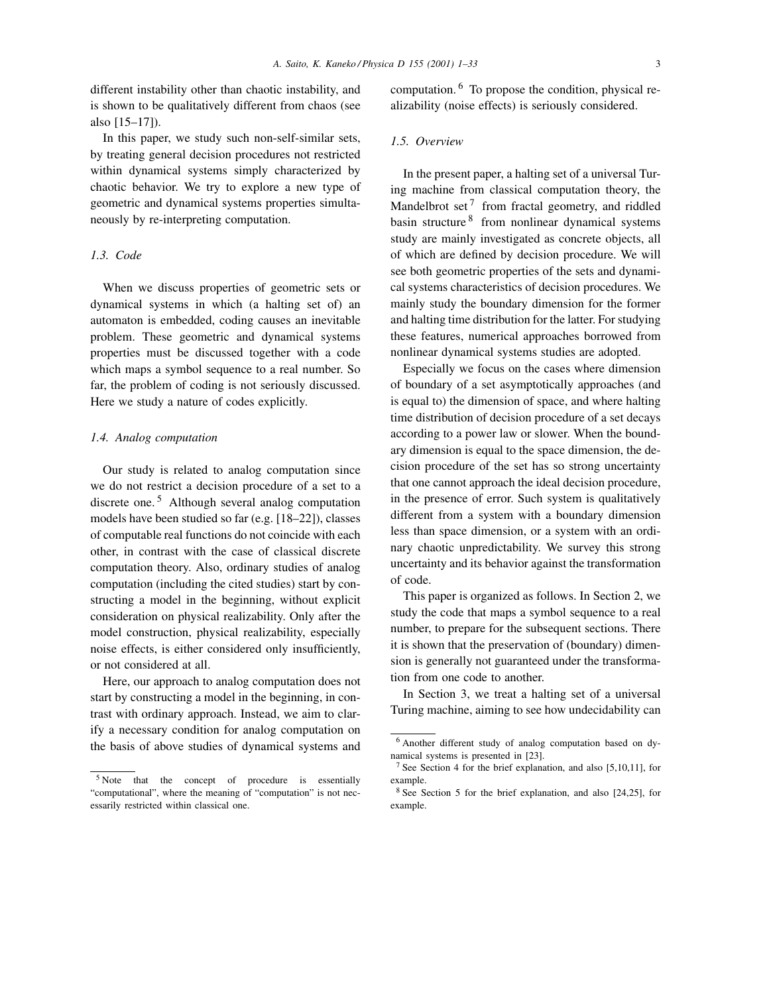different instability other than chaotic instability, and is shown to be qualitatively different from chaos (see also [15–17]).

In this paper, we study such non-self-similar sets, by treating general decision procedures not restricted within dynamical systems simply characterized by chaotic behavior. We try to explore a new type of geometric and dynamical systems properties simultaneously by re-interpreting computation.

# *1.3. Code*

When we discuss properties of geometric sets or dynamical systems in which (a halting set of) an automaton is embedded, coding causes an inevitable problem. These geometric and dynamical systems properties must be discussed together with a code which maps a symbol sequence to a real number. So far, the problem of coding is not seriously discussed. Here we study a nature of codes explicitly.

# *1.4. Analog computation*

Our study is related to analog computation since we do not restrict a decision procedure of a set to a discrete one.<sup>5</sup> Although several analog computation models have been studied so far (e.g. [18–22]), classes of computable real functions do not coincide with each other, in contrast with the case of classical discrete computation theory. Also, ordinary studies of analog computation (including the cited studies) start by constructing a model in the beginning, without explicit consideration on physical realizability. Only after the model construction, physical realizability, especially noise effects, is either considered only insufficiently, or not considered at all.

Here, our approach to analog computation does not start by constructing a model in the beginning, in contrast with ordinary approach. Instead, we aim to clarify a necessary condition for analog computation on the basis of above studies of dynamical systems and computation. <sup>6</sup> To propose the condition, physical realizability (noise effects) is seriously considered.

### *1.5. Overview*

In the present paper, a halting set of a universal Turing machine from classical computation theory, the Mandelbrot set $<sup>7</sup>$  from fractal geometry, and riddled</sup> basin structure  $8$  from nonlinear dynamical systems study are mainly investigated as concrete objects, all of which are defined by decision procedure. We will see both geometric properties of the sets and dynamical systems characteristics of decision procedures. We mainly study the boundary dimension for the former and halting time distribution for the latter. For studying these features, numerical approaches borrowed from nonlinear dynamical systems studies are adopted.

Especially we focus on the cases where dimension of boundary of a set asymptotically approaches (and is equal to) the dimension of space, and where halting time distribution of decision procedure of a set decays according to a power law or slower. When the boundary dimension is equal to the space dimension, the decision procedure of the set has so strong uncertainty that one cannot approach the ideal decision procedure, in the presence of error. Such system is qualitatively different from a system with a boundary dimension less than space dimension, or a system with an ordinary chaotic unpredictability. We survey this strong uncertainty and its behavior against the transformation of code.

This paper is organized as follows. In Section 2, we study the code that maps a symbol sequence to a real number, to prepare for the subsequent sections. There it is shown that the preservation of (boundary) dimension is generally not guaranteed under the transformation from one code to another.

In Section 3, we treat a halting set of a universal Turing machine, aiming to see how undecidability can

<sup>5</sup> Note that the concept of procedure is essentially "computational", where the meaning of "computation" is not necessarily restricted within classical one.

<sup>6</sup> Another different study of analog computation based on dynamical systems is presented in [23].

<sup>7</sup> See Section 4 for the brief explanation, and also [5,10,11], for example.

<sup>8</sup> See Section 5 for the brief explanation, and also [24,25], for example.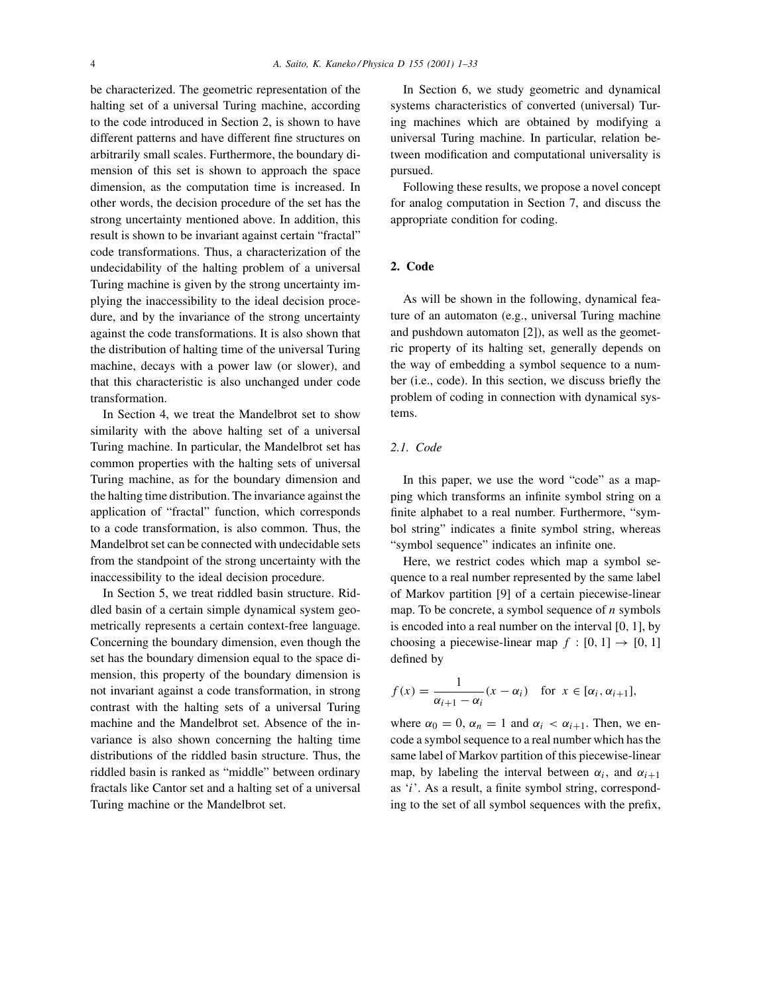be characterized. The geometric representation of the halting set of a universal Turing machine, according to the code introduced in Section 2, is shown to have different patterns and have different fine structures on arbitrarily small scales. Furthermore, the boundary dimension of this set is shown to approach the space dimension, as the computation time is increased. In other words, the decision procedure of the set has the strong uncertainty mentioned above. In addition, this result is shown to be invariant against certain "fractal" code transformations. Thus, a characterization of the undecidability of the halting problem of a universal Turing machine is given by the strong uncertainty implying the inaccessibility to the ideal decision procedure, and by the invariance of the strong uncertainty against the code transformations. It is also shown that the distribution of halting time of the universal Turing machine, decays with a power law (or slower), and that this characteristic is also unchanged under code transformation.

In Section 4, we treat the Mandelbrot set to show similarity with the above halting set of a universal Turing machine. In particular, the Mandelbrot set has common properties with the halting sets of universal Turing machine, as for the boundary dimension and the halting time distribution. The invariance against the application of "fractal" function, which corresponds to a code transformation, is also common. Thus, the Mandelbrot set can be connected with undecidable sets from the standpoint of the strong uncertainty with the inaccessibility to the ideal decision procedure.

In Section 5, we treat riddled basin structure. Riddled basin of a certain simple dynamical system geometrically represents a certain context-free language. Concerning the boundary dimension, even though the set has the boundary dimension equal to the space dimension, this property of the boundary dimension is not invariant against a code transformation, in strong contrast with the halting sets of a universal Turing machine and the Mandelbrot set. Absence of the invariance is also shown concerning the halting time distributions of the riddled basin structure. Thus, the riddled basin is ranked as "middle" between ordinary fractals like Cantor set and a halting set of a universal Turing machine or the Mandelbrot set.

In Section 6, we study geometric and dynamical systems characteristics of converted (universal) Turing machines which are obtained by modifying a universal Turing machine. In particular, relation between modification and computational universality is pursued.

Following these results, we propose a novel concept for analog computation in Section 7, and discuss the appropriate condition for coding.

### **2. Code**

As will be shown in the following, dynamical feature of an automaton (e.g., universal Turing machine and pushdown automaton [2]), as well as the geometric property of its halting set, generally depends on the way of embedding a symbol sequence to a number (i.e., code). In this section, we discuss briefly the problem of coding in connection with dynamical systems.

# *2.1. Code*

In this paper, we use the word "code" as a mapping which transforms an infinite symbol string on a finite alphabet to a real number. Furthermore, "symbol string" indicates a finite symbol string, whereas "symbol sequence" indicates an infinite one.

Here, we restrict codes which map a symbol sequence to a real number represented by the same label of Markov partition [9] of a certain piecewise-linear map. To be concrete, a symbol sequence of  $n$  symbols is encoded into a real number on the interval [0, 1], by choosing a piecewise-linear map  $f : [0, 1] \rightarrow [0, 1]$ defined by

$$
f(x) = \frac{1}{\alpha_{i+1} - \alpha_i}(x - \alpha_i) \quad \text{for } x \in [\alpha_i, \alpha_{i+1}],
$$

where  $\alpha_0 = 0$ ,  $\alpha_n = 1$  and  $\alpha_i < \alpha_{i+1}$ . Then, we encode a symbol sequence to a real number which has the same label of Markov partition of this piecewise-linear map, by labeling the interval between  $\alpha_i$ , and  $\alpha_{i+1}$ as 'i'. As a result, a finite symbol string, corresponding to the set of all symbol sequences with the prefix,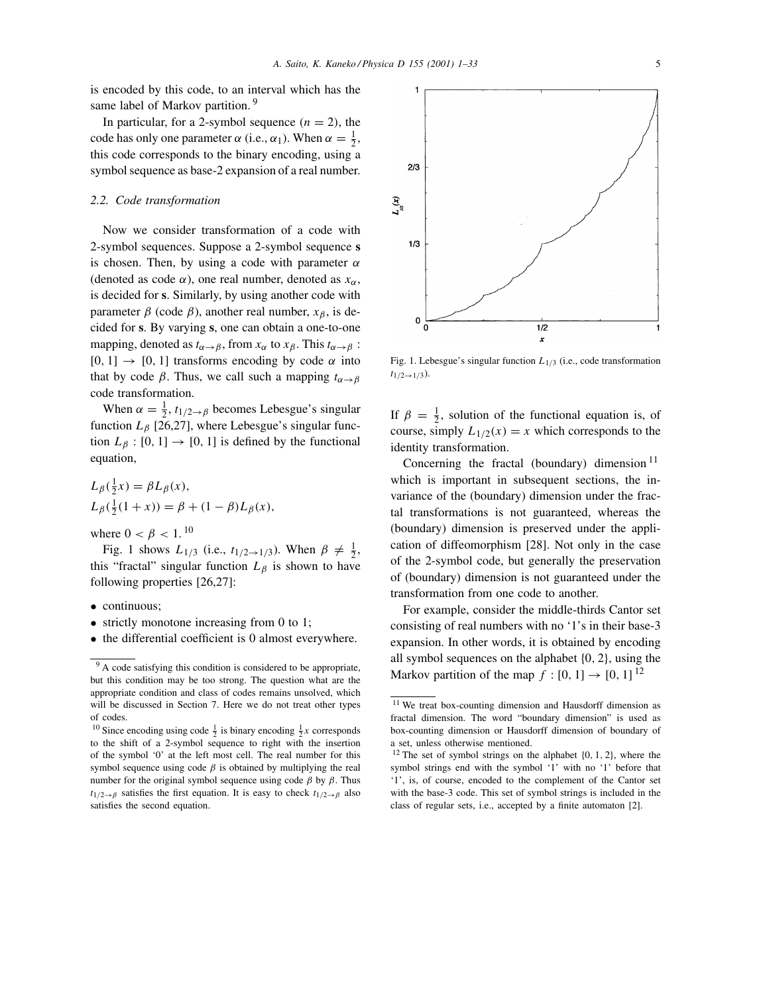is encoded by this code, to an interval which has the same label of Markov partition.<sup>9</sup>

In particular, for a 2-symbol sequence  $(n = 2)$ , the code has only one parameter  $\alpha$  (i.e.,  $\alpha_1$ ). When  $\alpha = \frac{1}{2}$ , this code corresponds to the binary encoding, using a symbol sequence as base-2 expansion of a real number.

# *2.2. Code transformation*

Now we consider transformation of a code with 2-symbol sequences. Suppose a 2-symbol sequence **s** is chosen. Then, by using a code with parameter  $\alpha$ (denoted as code  $\alpha$ ), one real number, denoted as  $x_{\alpha}$ , is decided for **s**. Similarly, by using another code with parameter  $\beta$  (code  $\beta$ ), another real number,  $x_{\beta}$ , is decided for **s**. By varying **s**, one can obtain a one-to-one mapping, denoted as  $t_{\alpha \to \beta}$ , from  $x_{\alpha}$  to  $x_{\beta}$ . This  $t_{\alpha \to \beta}$ :  $[0, 1] \rightarrow [0, 1]$  transforms encoding by code  $\alpha$  into that by code  $\beta$ . Thus, we call such a mapping  $t_{\alpha \to \beta}$ code transformation.

When  $\alpha = \frac{1}{2}$ ,  $t_{1/2 \rightarrow \beta}$  becomes Lebesgue's singular function  $L_{\beta}$  [26,27], where Lebesgue's singular function  $L_\beta : [0, 1] \to [0, 1]$  is defined by the functional equation,

$$
L_{\beta}(\frac{1}{2}x) = \beta L_{\beta}(x),
$$
  
\n
$$
L_{\beta}(\frac{1}{2}(1+x)) = \beta + (1-\beta)L_{\beta}(x),
$$

where  $0 < \beta < 1$ . <sup>10</sup>

Fig. 1 shows  $L_{1/3}$  (i.e.,  $t_{1/2 \rightarrow 1/3}$ ). When  $\beta \neq \frac{1}{2}$ , this "fractal" singular function  $L_{\beta}$  is shown to have following properties [26,27]:

- continuous;
- strictly monotone increasing from 0 to 1;
- the differential coefficient is 0 almost everywhere.



Fig. 1. Lebesgue's singular function  $L_{1/3}$  (i.e., code transformation  $t_{1/2\to 1/3}$ .

If  $\beta = \frac{1}{2}$ , solution of the functional equation is, of course, simply  $L_{1/2}(x) = x$  which corresponds to the identity transformation.

Concerning the fractal (boundary) dimension<sup>11</sup> which is important in subsequent sections, the invariance of the (boundary) dimension under the fractal transformations is not guaranteed, whereas the (boundary) dimension is preserved under the application of diffeomorphism [28]. Not only in the case of the 2-symbol code, but generally the preservation of (boundary) dimension is not guaranteed under the transformation from one code to another.

For example, consider the middle-thirds Cantor set consisting of real numbers with no '1's in their base-3 expansion. In other words, it is obtained by encoding all symbol sequences on the alphabet {0, 2}, using the Markov partition of the map  $f : [0, 1] \rightarrow [0, 1]^{12}$ 

<sup>&</sup>lt;sup>9</sup> A code satisfying this condition is considered to be appropriate, but this condition may be too strong. The question what are the appropriate condition and class of codes remains unsolved, which will be discussed in Section 7. Here we do not treat other types of codes.

<sup>&</sup>lt;sup>10</sup> Since encoding using code  $\frac{1}{2}$  is binary encoding  $\frac{1}{2}x$  corresponds to the shift of a 2-symbol sequence to right with the insertion of the symbol '0' at the left most cell. The real number for this symbol sequence using code  $\beta$  is obtained by multiplying the real number for the original symbol sequence using code  $β$  by  $β$ . Thus  $t_{1/2\rightarrow\beta}$  satisfies the first equation. It is easy to check  $t_{1/2\rightarrow\beta}$  also satisfies the second equation.

 $11$  We treat box-counting dimension and Hausdorff dimension as fractal dimension. The word "boundary dimension" is used as box-counting dimension or Hausdorff dimension of boundary of a set, unless otherwise mentioned.

 $12$  The set of symbol strings on the alphabet  $\{0, 1, 2\}$ , where the symbol strings end with the symbol '1' with no '1' before that '1', is, of course, encoded to the complement of the Cantor set with the base-3 code. This set of symbol strings is included in the class of regular sets, i.e., accepted by a finite automaton [2].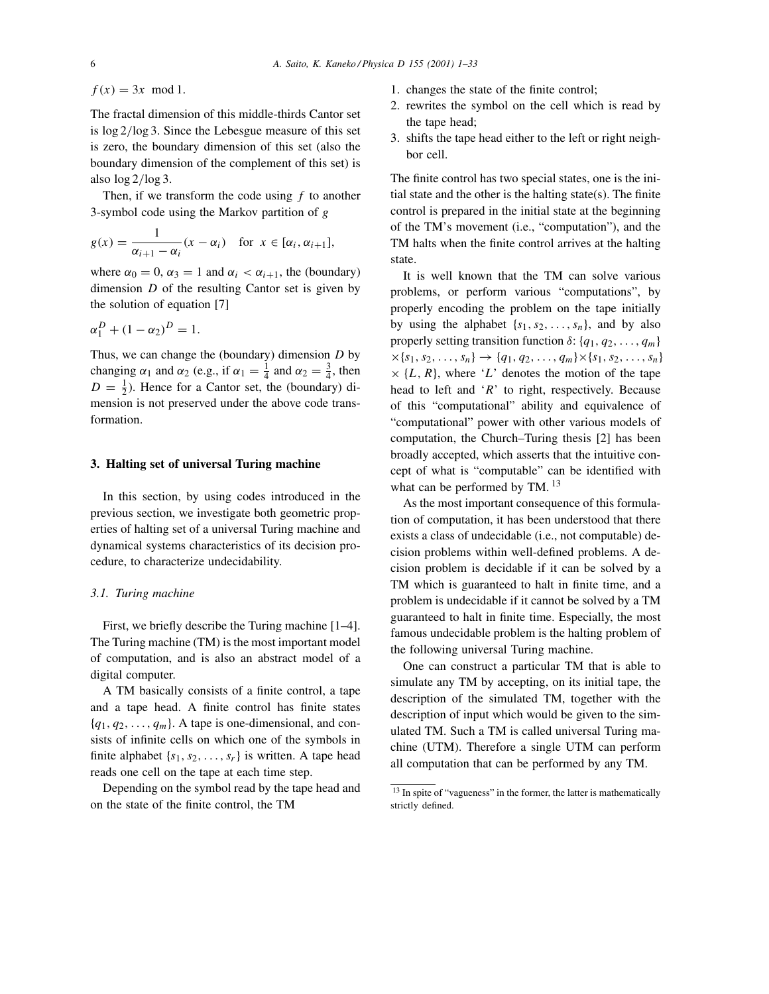$f(x) = 3x \mod 1$ .

The fractal dimension of this middle-thirds Cantor set is log 2/log 3. Since the Lebesgue measure of this set is zero, the boundary dimension of this set (also the boundary dimension of the complement of this set) is also log 2/log 3.

Then, if we transform the code using  $f$  to another 3-symbol code using the Markov partition of g

$$
g(x) = \frac{1}{\alpha_{i+1} - \alpha_i}(x - \alpha_i) \quad \text{for } x \in [\alpha_i, \alpha_{i+1}],
$$

where  $\alpha_0 = 0$ ,  $\alpha_3 = 1$  and  $\alpha_i < \alpha_{i+1}$ , the (boundary) dimension  $D$  of the resulting Cantor set is given by the solution of equation [7]

$$
\alpha_1^D + (1 - \alpha_2)^D = 1.
$$

Thus, we can change the (boundary) dimension  $D$  by changing  $\alpha_1$  and  $\alpha_2$  (e.g., if  $\alpha_1 = \frac{1}{4}$  and  $\alpha_2 = \frac{3}{4}$ , then  $D = \frac{1}{2}$ ). Hence for a Cantor set, the (boundary) dimension is not preserved under the above code transformation.

### **3. Halting set of universal Turing machine**

In this section, by using codes introduced in the previous section, we investigate both geometric properties of halting set of a universal Turing machine and dynamical systems characteristics of its decision procedure, to characterize undecidability.

### *3.1. Turing machine*

First, we briefly describe the Turing machine [1–4]. The Turing machine (TM) is the most important model of computation, and is also an abstract model of a digital computer.

A TM basically consists of a finite control, a tape and a tape head. A finite control has finite states  ${q_1, q_2, \ldots, q_m}$ . A tape is one-dimensional, and consists of infinite cells on which one of the symbols in finite alphabet  $\{s_1, s_2, \ldots, s_r\}$  is written. A tape head reads one cell on the tape at each time step.

Depending on the symbol read by the tape head and on the state of the finite control, the TM

- 1. changes the state of the finite control;
- 2. rewrites the symbol on the cell which is read by the tape head;
- 3. shifts the tape head either to the left or right neighbor cell.

The finite control has two special states, one is the initial state and the other is the halting state(s). The finite control is prepared in the initial state at the beginning of the TM's movement (i.e., "computation"), and the TM halts when the finite control arrives at the halting state.

It is well known that the TM can solve various problems, or perform various "computations", by properly encoding the problem on the tape initially by using the alphabet  $\{s_1, s_2, \ldots, s_n\}$ , and by also properly setting transition function  $\delta$ : { $q_1, q_2, \ldots, q_m$ }  $\times \{s_1, s_2, \ldots, s_n\} \rightarrow \{q_1, q_2, \ldots, q_m\} \times \{s_1, s_2, \ldots, s_n\}$  $\times \{L, R\}$ , where 'L' denotes the motion of the tape head to left and  $R$ ' to right, respectively. Because of this "computational" ability and equivalence of "computational" power with other various models of computation, the Church–Turing thesis [2] has been broadly accepted, which asserts that the intuitive concept of what is "computable" can be identified with what can be performed by TM.  $^{13}$ 

As the most important consequence of this formulation of computation, it has been understood that there exists a class of undecidable (i.e., not computable) decision problems within well-defined problems. A decision problem is decidable if it can be solved by a TM which is guaranteed to halt in finite time, and a problem is undecidable if it cannot be solved by a TM guaranteed to halt in finite time. Especially, the most famous undecidable problem is the halting problem of the following universal Turing machine.

One can construct a particular TM that is able to simulate any TM by accepting, on its initial tape, the description of the simulated TM, together with the description of input which would be given to the simulated TM. Such a TM is called universal Turing machine (UTM). Therefore a single UTM can perform all computation that can be performed by any TM.

<sup>&</sup>lt;sup>13</sup> In spite of "vagueness" in the former, the latter is mathematically strictly defined.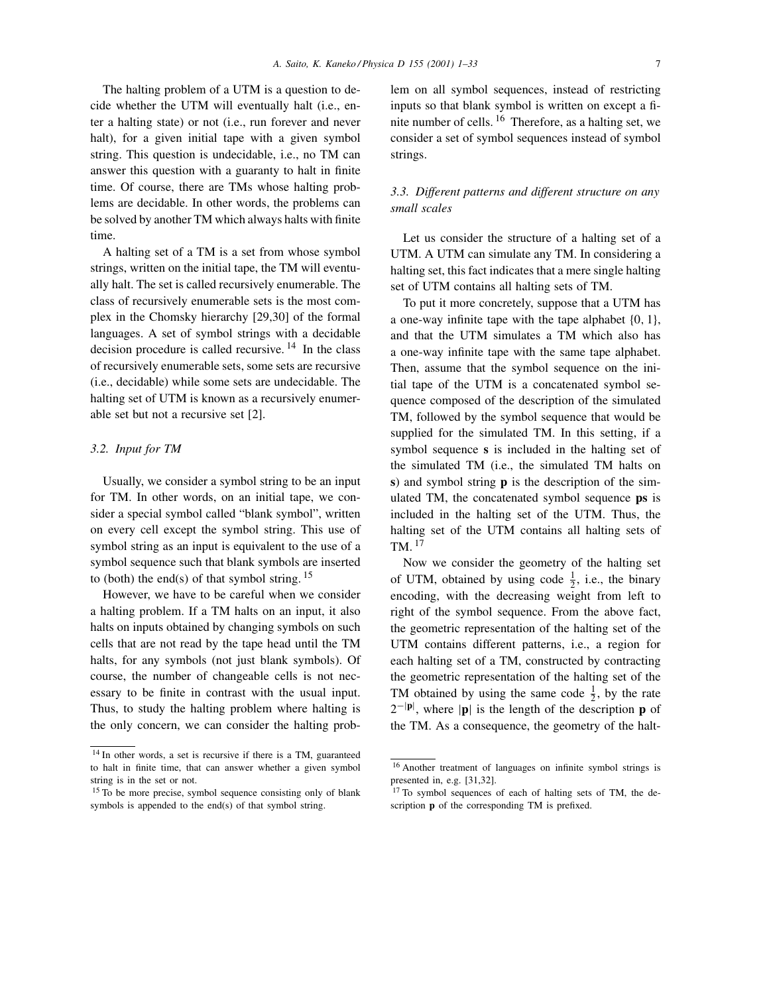The halting problem of a UTM is a question to decide whether the UTM will eventually halt (i.e., enter a halting state) or not (i.e., run forever and never halt), for a given initial tape with a given symbol string. This question is undecidable, i.e., no TM can answer this question with a guaranty to halt in finite time. Of course, there are TMs whose halting problems are decidable. In other words, the problems can be solved by another TM which always halts with finite time.

A halting set of a TM is a set from whose symbol strings, written on the initial tape, the TM will eventually halt. The set is called recursively enumerable. The class of recursively enumerable sets is the most complex in the Chomsky hierarchy [29,30] of the formal languages. A set of symbol strings with a decidable decision procedure is called recursive.  $14$  In the class of recursively enumerable sets, some sets are recursive (i.e., decidable) while some sets are undecidable. The halting set of UTM is known as a recursively enumerable set but not a recursive set [2].

# *3.2. Input for TM*

Usually, we consider a symbol string to be an input for TM. In other words, on an initial tape, we consider a special symbol called "blank symbol", written on every cell except the symbol string. This use of symbol string as an input is equivalent to the use of a symbol sequence such that blank symbols are inserted to (both) the end(s) of that symbol string.  $15$ 

However, we have to be careful when we consider a halting problem. If a TM halts on an input, it also halts on inputs obtained by changing symbols on such cells that are not read by the tape head until the TM halts, for any symbols (not just blank symbols). Of course, the number of changeable cells is not necessary to be finite in contrast with the usual input. Thus, to study the halting problem where halting is the only concern, we can consider the halting prob-

lem on all symbol sequences, instead of restricting inputs so that blank symbol is written on except a finite number of cells. <sup>16</sup> Therefore, as a halting set, we consider a set of symbol sequences instead of symbol strings.

# *3.3. Different patterns and different structure on any small scales*

Let us consider the structure of a halting set of a UTM. A UTM can simulate any TM. In considering a halting set, this fact indicates that a mere single halting set of UTM contains all halting sets of TM.

To put it more concretely, suppose that a UTM has a one-way infinite tape with the tape alphabet  $\{0, 1\}$ , and that the UTM simulates a TM which also has a one-way infinite tape with the same tape alphabet. Then, assume that the symbol sequence on the initial tape of the UTM is a concatenated symbol sequence composed of the description of the simulated TM, followed by the symbol sequence that would be supplied for the simulated TM. In this setting, if a symbol sequence **s** is included in the halting set of the simulated TM (i.e., the simulated TM halts on **s**) and symbol string **p** is the description of the simulated TM, the concatenated symbol sequence **ps** is included in the halting set of the UTM. Thus, the halting set of the UTM contains all halting sets of TM. <sup>17</sup>

Now we consider the geometry of the halting set of UTM, obtained by using code  $\frac{1}{2}$ , i.e., the binary encoding, with the decreasing weight from left to right of the symbol sequence. From the above fact, the geometric representation of the halting set of the UTM contains different patterns, i.e., a region for each halting set of a TM, constructed by contracting the geometric representation of the halting set of the TM obtained by using the same code  $\frac{1}{2}$ , by the rate 2−|**p**<sup>|</sup> , where |**p**| is the length of the description **p** of the TM. As a consequence, the geometry of the halt-

<sup>14</sup> In other words, a set is recursive if there is a TM, guaranteed to halt in finite time, that can answer whether a given symbol string is in the set or not.

<sup>&</sup>lt;sup>15</sup> To be more precise, symbol sequence consisting only of blank symbols is appended to the end(s) of that symbol string.

<sup>16</sup> Another treatment of languages on infinite symbol strings is presented in, e.g. [31,32].

<sup>&</sup>lt;sup>17</sup> To symbol sequences of each of halting sets of TM, the description **p** of the corresponding TM is prefixed.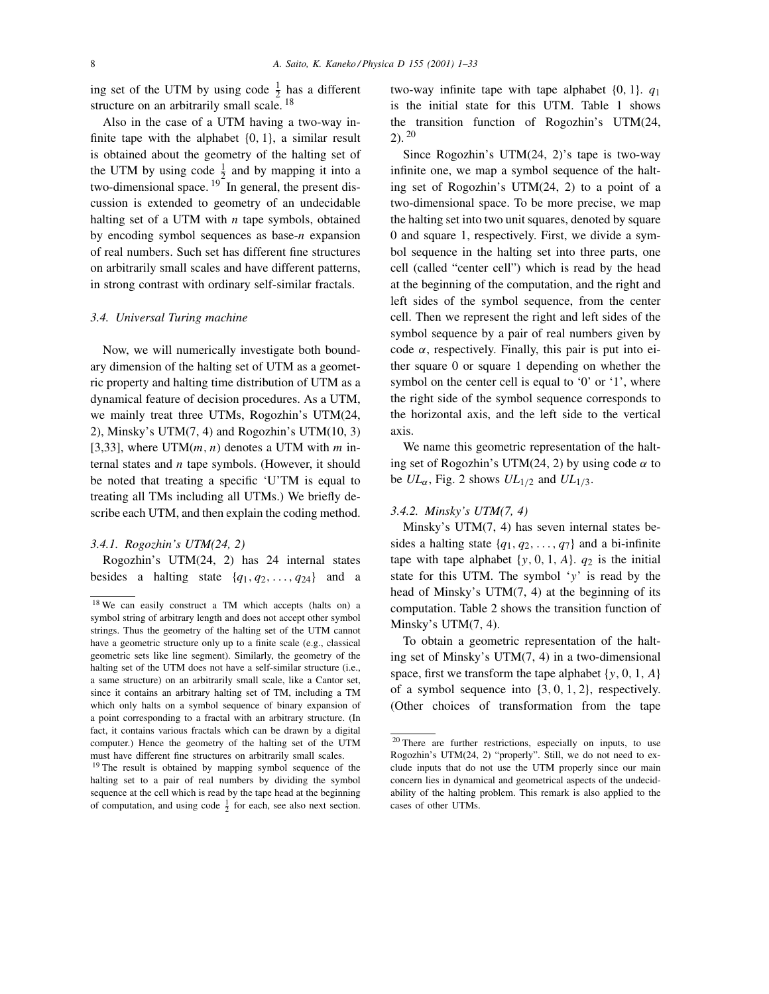ing set of the UTM by using code  $\frac{1}{2}$  has a different structure on an arbitrarily small scale.<sup>18</sup>

Also in the case of a UTM having a two-way infinite tape with the alphabet {0, 1}, a similar result is obtained about the geometry of the halting set of the UTM by using code  $\frac{1}{2}$  and by mapping it into a two-dimensional space.  $19$  In general, the present discussion is extended to geometry of an undecidable halting set of a UTM with  $n$  tape symbols, obtained by encoding symbol sequences as base- $n$  expansion of real numbers. Such set has different fine structures on arbitrarily small scales and have different patterns, in strong contrast with ordinary self-similar fractals.

# *3.4. Universal Turing machine*

Now, we will numerically investigate both boundary dimension of the halting set of UTM as a geometric property and halting time distribution of UTM as a dynamical feature of decision procedures. As a UTM, we mainly treat three UTMs, Rogozhin's UTM(24, 2), Minsky's UTM $(7, 4)$  and Rogozhin's UTM $(10, 3)$ [3,33], where UTM $(m, n)$  denotes a UTM with m internal states and  $n$  tape symbols. (However, it should be noted that treating a specific 'U'TM is equal to treating all TMs including all UTMs.) We briefly describe each UTM, and then explain the coding method.

### *3.4.1. Rogozhin's UTM(24, 2)*

Rogozhin's UTM(24, 2) has 24 internal states besides a halting state  $\{q_1, q_2, \ldots, q_{24}\}$  and a two-way infinite tape with tape alphabet  $\{0, 1\}$ .  $q_1$ is the initial state for this UTM. Table 1 shows the transition function of Rogozhin's UTM(24,  $2)$ .  $20$ 

Since Rogozhin's UTM(24, 2)'s tape is two-way infinite one, we map a symbol sequence of the halting set of Rogozhin's UTM(24, 2) to a point of a two-dimensional space. To be more precise, we map the halting set into two unit squares, denoted by square 0 and square 1, respectively. First, we divide a symbol sequence in the halting set into three parts, one cell (called "center cell") which is read by the head at the beginning of the computation, and the right and left sides of the symbol sequence, from the center cell. Then we represent the right and left sides of the symbol sequence by a pair of real numbers given by code  $\alpha$ , respectively. Finally, this pair is put into either square 0 or square 1 depending on whether the symbol on the center cell is equal to '0' or '1', where the right side of the symbol sequence corresponds to the horizontal axis, and the left side to the vertical axis.

We name this geometric representation of the halting set of Rogozhin's UTM(24, 2) by using code  $\alpha$  to be  $UL_{\alpha}$ , Fig. 2 shows  $UL_{1/2}$  and  $UL_{1/3}$ .

# *3.4.2. Minsky's UTM(7, 4)*

Minsky's UTM(7, 4) has seven internal states besides a halting state  $\{q_1, q_2, \ldots, q_7\}$  and a bi-infinite tape with tape alphabet  $\{y, 0, 1, A\}$ .  $q_2$  is the initial state for this UTM. The symbol 'y' is read by the head of Minsky's UTM(7, 4) at the beginning of its computation. Table 2 shows the transition function of Minsky's UTM $(7, 4)$ .

To obtain a geometric representation of the halting set of Minsky's UTM(7, 4) in a two-dimensional space, first we transform the tape alphabet  $\{y, 0, 1, A\}$ of a symbol sequence into {3, 0, 1, 2}, respectively. (Other choices of transformation from the tape

<sup>18</sup> We can easily construct a TM which accepts (halts on) a symbol string of arbitrary length and does not accept other symbol strings. Thus the geometry of the halting set of the UTM cannot have a geometric structure only up to a finite scale (e.g., classical geometric sets like line segment). Similarly, the geometry of the halting set of the UTM does not have a self-similar structure (i.e., a same structure) on an arbitrarily small scale, like a Cantor set, since it contains an arbitrary halting set of TM, including a TM which only halts on a symbol sequence of binary expansion of a point corresponding to a fractal with an arbitrary structure. (In fact, it contains various fractals which can be drawn by a digital computer.) Hence the geometry of the halting set of the UTM must have different fine structures on arbitrarily small scales.

<sup>&</sup>lt;sup>19</sup> The result is obtained by mapping symbol sequence of the halting set to a pair of real numbers by dividing the symbol sequence at the cell which is read by the tape head at the beginning of computation, and using code  $\frac{1}{2}$  for each, see also next section.

<sup>&</sup>lt;sup>20</sup> There are further restrictions, especially on inputs, to use Rogozhin's UTM(24, 2) "properly". Still, we do not need to exclude inputs that do not use the UTM properly since our main concern lies in dynamical and geometrical aspects of the undecidability of the halting problem. This remark is also applied to the cases of other UTMs.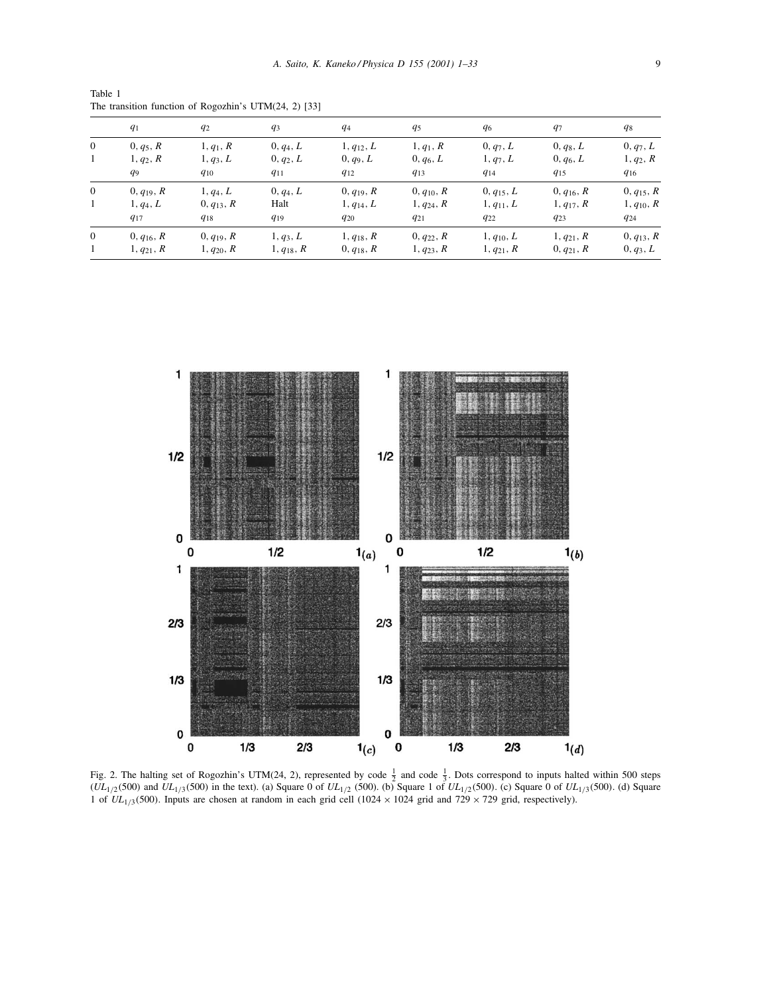|                                | $q_1$                                     | $q_2$                                     | $q_3$                                  | $q_4$                                         | q <sub>5</sub>                               | $q_6$                                        | $q_7$                                        | $q_8$                                        |
|--------------------------------|-------------------------------------------|-------------------------------------------|----------------------------------------|-----------------------------------------------|----------------------------------------------|----------------------------------------------|----------------------------------------------|----------------------------------------------|
| $\overline{0}$<br>1            | $0, q_5, R$<br>$1, q_2, R$<br>q9          | $1, q_1, R$<br>$1, q_3, L$<br>910         | $0, q_4, L$<br>$0, q_2, L$<br>$q_{11}$ | $1, q_{12}, L$<br>$0, q_9, L$<br>$q_{12}$     | $1, q_1, R$<br>$0, q_6, L$<br>$q_{13}$       | $0, q_7, L$<br>$1, q_7, L$<br>$q_{14}$       | $0, q_8, L$<br>$0, q_6, L$<br>915            | $0, q_7, L$<br>$1, q_2, R$<br>916            |
| $\overline{0}$<br>$\mathbf{1}$ | $0, q_{19}, R$<br>$1, q_4, L$<br>$q_{17}$ | $1, q_4, L$<br>$0, q_{13}, R$<br>$q_{18}$ | $0, q_4, L$<br>Halt<br>919             | 0, $q_{19}$ , R<br>$1, q_{14}, L$<br>$q_{20}$ | $0, q_{10}, R$<br>$1, q_{24}, R$<br>$q_{21}$ | $0, q_{15}, L$<br>$1, q_{11}, L$<br>$q_{22}$ | $0, q_{16}, R$<br>$1, q_{17}, R$<br>$q_{23}$ | $0, q_{15}, R$<br>$1, q_{10}, R$<br>$q_{24}$ |
| $\theta$<br>1                  | $0, q_{16}, R$<br>$1, q_{21}, R$          | $0, q_{19}, R$<br>$1, q_{20}, R$          | $1, q_3, L$<br>$1, q_{18}, R$          | $1, q_{18}, R$<br>$0, q_{18}, R$              | $0, q_{22}, R$<br>$1, q_{23}, R$             | $1, q_{10}, L$<br>$1, q_{21}, R$             | $1, q_{21}, R$<br>$0, q_{21}, R$             | $0, q_{13}, R$<br>$0, q_3, L$                |

Table 1 The transition function of Rogozhin's UTM(24, 2) [33]



Fig. 2. The halting set of Rogozhin's UTM(24, 2), represented by code  $\frac{1}{2}$  and code  $\frac{1}{3}$ . Dots correspond to inputs halted within 500 steps  $(UL_{1/2}(500)$  and  $UL_{1/3}(500)$  in the text). (a) Square 0 of  $UL_{1/2}(500)$ . (b) Square 1 of  $UL_{1/2}(500)$ . (c) Square 0 of  $UL_{1/3}(500)$ . (d) Square 1 of  $UL_{1/3}$ (500). Inputs are chosen at random in each grid cell (1024 × 1024 grid and 729 × 729 grid, respectively).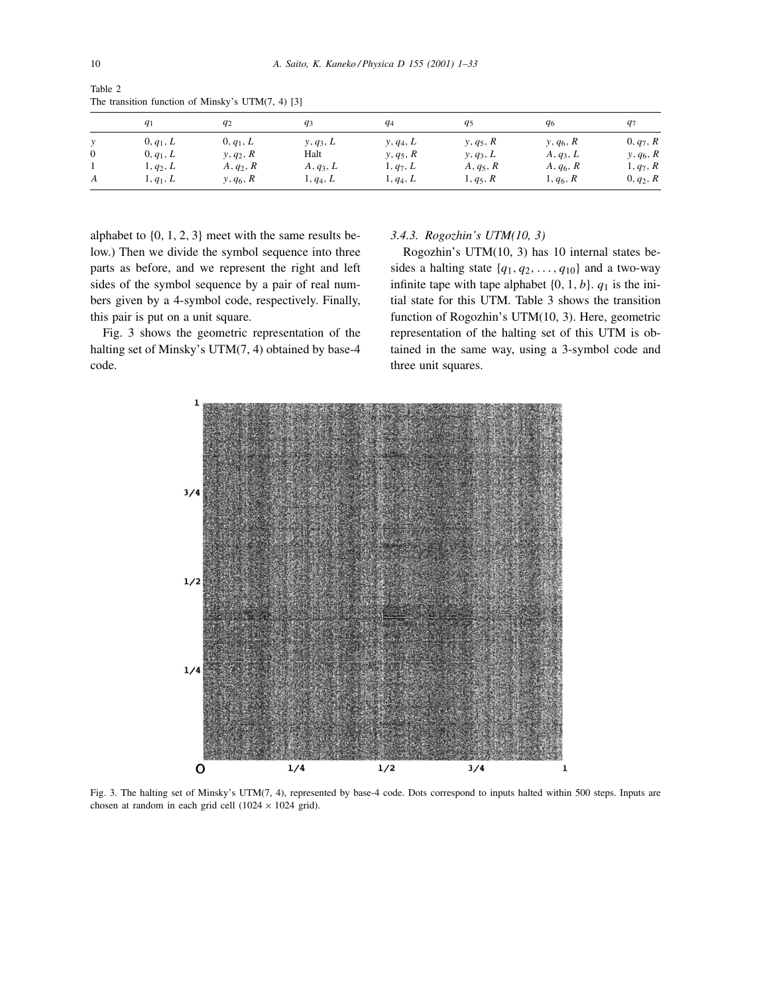|                  |             | $q_2$       | 43          | 44          | 45          | q6          |             |
|------------------|-------------|-------------|-------------|-------------|-------------|-------------|-------------|
|                  | $0, q_1, L$ | $0, q_1, L$ | $y, q_3, L$ | $y, q_4, L$ | $y, q_5, R$ | $y, q_6, R$ | $0, q_7, R$ |
| $\overline{0}$   | $0, q_1, L$ | $y, q_2, R$ | Halt        | $y, q_5, R$ | $y, q_3, L$ | $A, q_3, L$ | $y, q_6, R$ |
|                  | $1, q_2, L$ | $A, q_2, R$ | $A, q_3, L$ | $1, q_7, L$ | $A, q_5, R$ | $A, q_6, R$ | $1, q_7, R$ |
| $\boldsymbol{A}$ | $1, q_1, L$ | $y, q_6, R$ | $1, q_4, L$ | $1, q_4, L$ | $1, q_5, R$ | $1, q_6, R$ | $0, q_2, R$ |

Table 2 The transition function of Minsky's UTM(7, 4) [3]

alphabet to {0, 1, 2, 3} meet with the same results below.) Then we divide the symbol sequence into three parts as before, and we represent the right and left sides of the symbol sequence by a pair of real numbers given by a 4-symbol code, respectively. Finally, this pair is put on a unit square.

Fig. 3 shows the geometric representation of the halting set of Minsky's UTM(7, 4) obtained by base-4 code.

# *3.4.3. Rogozhin's UTM(10, 3)*

Rogozhin's UTM(10, 3) has 10 internal states besides a halting state  $\{q_1, q_2, \ldots, q_{10}\}$  and a two-way infinite tape with tape alphabet  $\{0, 1, b\}$ .  $q_1$  is the initial state for this UTM. Table 3 shows the transition function of Rogozhin's UTM(10, 3). Here, geometric representation of the halting set of this UTM is obtained in the same way, using a 3-symbol code and three unit squares.



Fig. 3. The halting set of Minsky's UTM(7, 4), represented by base-4 code. Dots correspond to inputs halted within 500 steps. Inputs are chosen at random in each grid cell (1024  $\times$  1024 grid).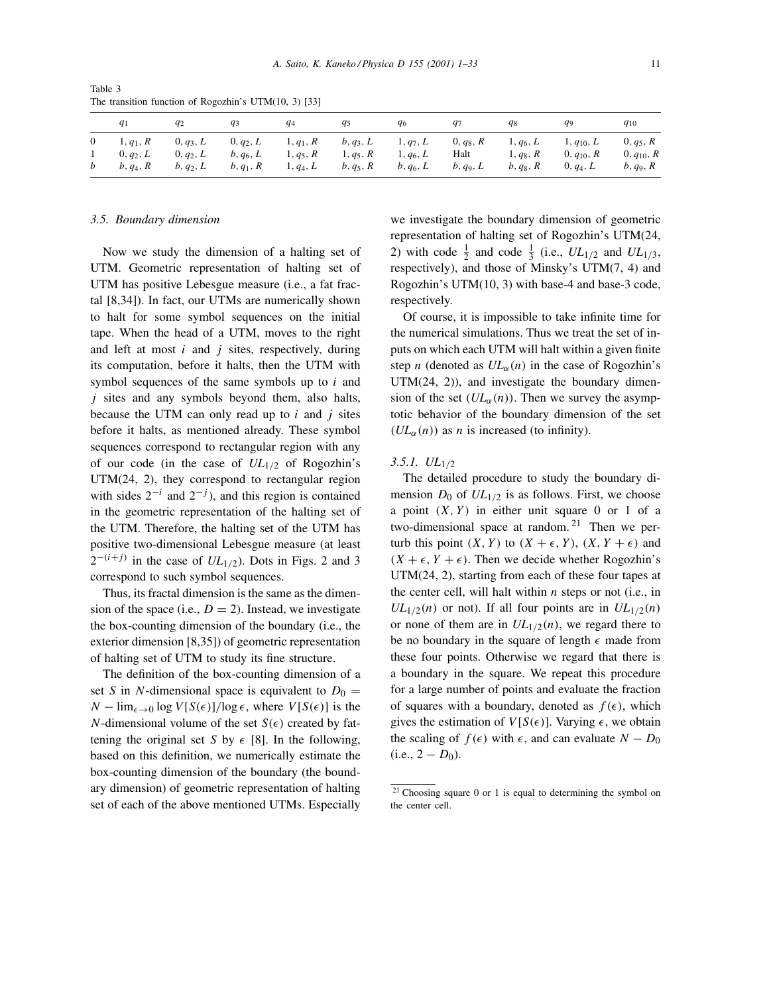|   | $q_1$ | $q_2$ | $q_3$                                                                         | $q_4$ $q_5$ | 96 | $q_7$       | - 98 | $q_9$                                                                                                                                  | <i>q</i> <sub>10</sub> |
|---|-------|-------|-------------------------------------------------------------------------------|-------------|----|-------------|------|----------------------------------------------------------------------------------------------------------------------------------------|------------------------|
|   |       |       |                                                                               |             |    |             |      | 0 1, $q_1$ , R 0, $q_3$ , L 0, $q_2$ , L 1, $q_1$ , R b, $q_3$ , L 1, $q_7$ , L 0, $q_8$ , R 1, $q_6$ , L 1, $q_{10}$ , L 0, $q_5$ , R |                        |
| 1 |       |       | $0, q_2, L$ $0, q_2, L$ $b, q_6, L$ $1, q_5, R$ $1, q_5, R$ $1, q_6, L$       |             |    |             |      | Halt $1, q_8, R$ $0, q_{10}, R$                                                                                                        | 0, $q_{10}$ , R        |
| b |       |       | b, $q_4$ , R b, $q_2$ , L b, $q_1$ , R 1, $q_4$ , L b, $q_5$ , R b, $q_6$ , L |             |    | $b, q_9, L$ |      | $b, q_8, R$ 0, $q_4, L$                                                                                                                | $b, q_9, R$            |

Table 3 The transition function of Rogozhin's UTM(10, 3) [33]

### *3.5. Boundary dimension*

Now we study the dimension of a halting set of UTM. Geometric representation of halting set of UTM has positive Lebesgue measure (i.e., a fat fractal [8,34]). In fact, our UTMs are numerically shown to halt for some symbol sequences on the initial tape. When the head of a UTM, moves to the right and left at most  $i$  and  $j$  sites, respectively, during its computation, before it halts, then the UTM with symbol sequences of the same symbols up to  $i$  and j sites and any symbols beyond them, also halts, because the UTM can only read up to  $i$  and  $j$  sites before it halts, as mentioned already. These symbol sequences correspond to rectangular region with any of our code (in the case of  $UL_{1/2}$  of Rogozhin's UTM(24, 2), they correspond to rectangular region with sides  $2^{-i}$  and  $2^{-j}$ ), and this region is contained in the geometric representation of the halting set of the UTM. Therefore, the halting set of the UTM has positive two-dimensional Lebesgue measure (at least  $2^{-(i+j)}$  in the case of  $UL_{1/2}$ ). Dots in Figs. 2 and 3 correspond to such symbol sequences.

Thus, its fractal dimension is the same as the dimension of the space (i.e.,  $D = 2$ ). Instead, we investigate the box-counting dimension of the boundary (i.e., the exterior dimension [8,35]) of geometric representation of halting set of UTM to study its fine structure.

The definition of the box-counting dimension of a set S in N-dimensional space is equivalent to  $D_0 =$  $N - \lim_{\epsilon \to 0} \log V[S(\epsilon)]/\log \epsilon$ , where  $V[S(\epsilon)]$  is the N-dimensional volume of the set  $S(\epsilon)$  created by fattening the original set S by  $\epsilon$  [8]. In the following, based on this definition, we numerically estimate the box-counting dimension of the boundary (the boundary dimension) of geometric representation of halting set of each of the above mentioned UTMs. Especially

we investigate the boundary dimension of geometric representation of halting set of Rogozhin's UTM(24, 2) with code  $\frac{1}{2}$  and code  $\frac{1}{3}$  (i.e.,  $UL_{1/2}$  and  $UL_{1/3}$ , respectively), and those of Minsky's UTM(7, 4) and Rogozhin's UTM(10, 3) with base-4 and base-3 code, respectively.

Of course, it is impossible to take infinite time for the numerical simulations. Thus we treat the set of inputs on which each UTM will halt within a given finite step *n* (denoted as  $UL_{\alpha}(n)$  in the case of Rogozhin's UTM(24, 2)), and investigate the boundary dimension of the set  $(UL_{\alpha}(n))$ . Then we survey the asymptotic behavior of the boundary dimension of the set  $(UL_{\alpha}(n))$  as *n* is increased (to infinity).

# *3.5.1. UL*1/<sup>2</sup>

The detailed procedure to study the boundary dimension  $D_0$  of  $UL_{1/2}$  is as follows. First, we choose a point  $(X, Y)$  in either unit square 0 or 1 of a two-dimensional space at random. <sup>21</sup> Then we perturb this point  $(X, Y)$  to  $(X + \epsilon, Y)$ ,  $(X, Y + \epsilon)$  and  $(X + \epsilon, Y + \epsilon)$ . Then we decide whether Rogozhin's UTM(24, 2), starting from each of these four tapes at the center cell, will halt within  $n$  steps or not (i.e., in  $UL_{1/2}(n)$  or not). If all four points are in  $UL_{1/2}(n)$ or none of them are in  $UL_{1/2}(n)$ , we regard there to be no boundary in the square of length  $\epsilon$  made from these four points. Otherwise we regard that there is a boundary in the square. We repeat this procedure for a large number of points and evaluate the fraction of squares with a boundary, denoted as  $f(\epsilon)$ , which gives the estimation of  $V[S(\epsilon)]$ . Varying  $\epsilon$ , we obtain the scaling of  $f(\epsilon)$  with  $\epsilon$ , and can evaluate  $N - D_0$  $(i.e., 2 - D_0).$ 

 $21$  Choosing square 0 or 1 is equal to determining the symbol on the center cell.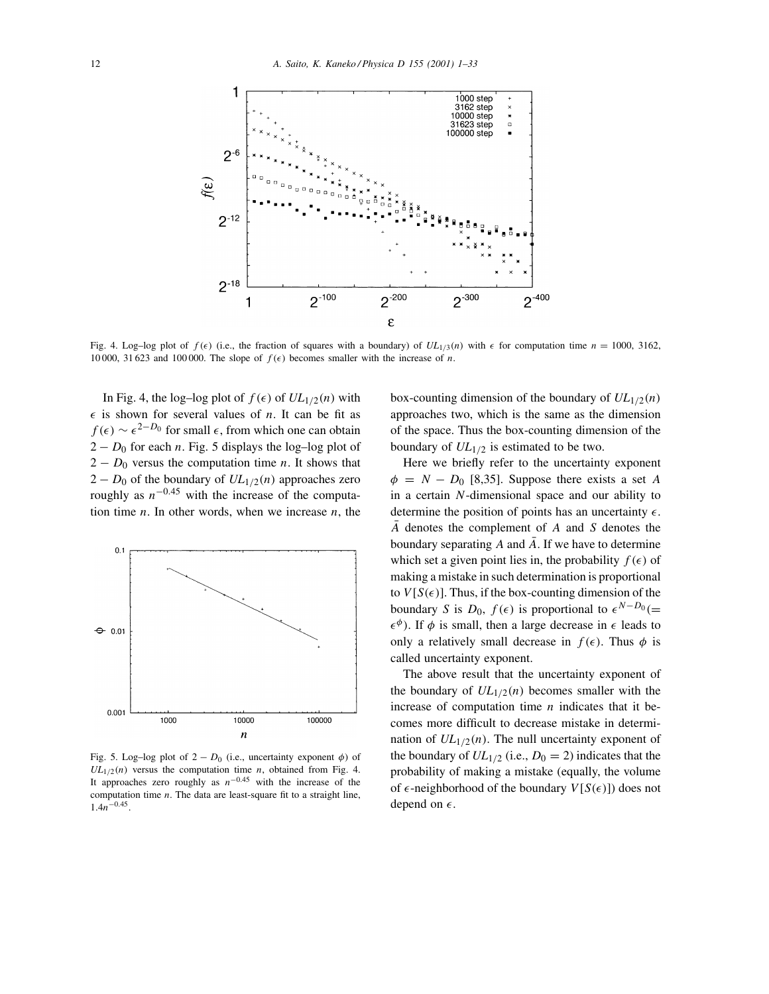

Fig. 4. Log-log plot of  $f(\epsilon)$  (i.e., the fraction of squares with a boundary) of  $UL_{1/3}(n)$  with  $\epsilon$  for computation time  $n = 1000$ , 3162, 10 000, 31 623 and 100 000. The slope of  $f(\epsilon)$  becomes smaller with the increase of n.

In Fig. 4, the log-log plot of  $f(\epsilon)$  of  $UL_{1/2}(n)$  with  $\epsilon$  is shown for several values of *n*. It can be fit as  $f(\epsilon) \sim \epsilon^{2-D_0}$  for small  $\epsilon$ , from which one can obtain  $2 - D_0$  for each *n*. Fig. 5 displays the log–log plot of  $2 - D_0$  versus the computation time *n*. It shows that  $2 - D_0$  of the boundary of  $UL_{1/2}(n)$  approaches zero roughly as  $n^{-0.45}$  with the increase of the computation time  $n$ . In other words, when we increase  $n$ , the



Fig. 5. Log–log plot of  $2 - D_0$  (i.e., uncertainty exponent  $\phi$ ) of  $UL_{1/2}(n)$  versus the computation time *n*, obtained from Fig. 4. It approaches zero roughly as  $n^{-0.45}$  with the increase of the computation time  $n$ . The data are least-square fit to a straight line,  $1.4n^{-0.45}$ 

box-counting dimension of the boundary of  $UL_{1/2}(n)$ approaches two, which is the same as the dimension of the space. Thus the box-counting dimension of the boundary of *UL*1/<sup>2</sup> is estimated to be two.

Here we briefly refer to the uncertainty exponent  $\phi = N - D_0$  [8,35]. Suppose there exists a set A in a certain N-dimensional space and our ability to determine the position of points has an uncertainty  $\epsilon$ .  $\overline{A}$  denotes the complement of A and S denotes the boundary separating  $\overline{A}$  and  $\overline{A}$ . If we have to determine which set a given point lies in, the probability  $f(\epsilon)$  of making a mistake in such determination is proportional to  $V[S(\epsilon)]$ . Thus, if the box-counting dimension of the boundary S is  $D_0$ ,  $f(\epsilon)$  is proportional to  $\epsilon^{N-D_0}$  (=  $\epsilon^{\phi}$ ). If  $\phi$  is small, then a large decrease in  $\epsilon$  leads to only a relatively small decrease in  $f(\epsilon)$ . Thus  $\phi$  is called uncertainty exponent.

The above result that the uncertainty exponent of the boundary of  $UL_{1/2}(n)$  becomes smaller with the increase of computation time  $n$  indicates that it becomes more difficult to decrease mistake in determination of  $UL_{1/2}(n)$ . The null uncertainty exponent of the boundary of  $UL_{1/2}$  (i.e.,  $D_0 = 2$ ) indicates that the probability of making a mistake (equally, the volume of  $\epsilon$ -neighborhood of the boundary  $V[S(\epsilon)])$  does not depend on  $\epsilon$ .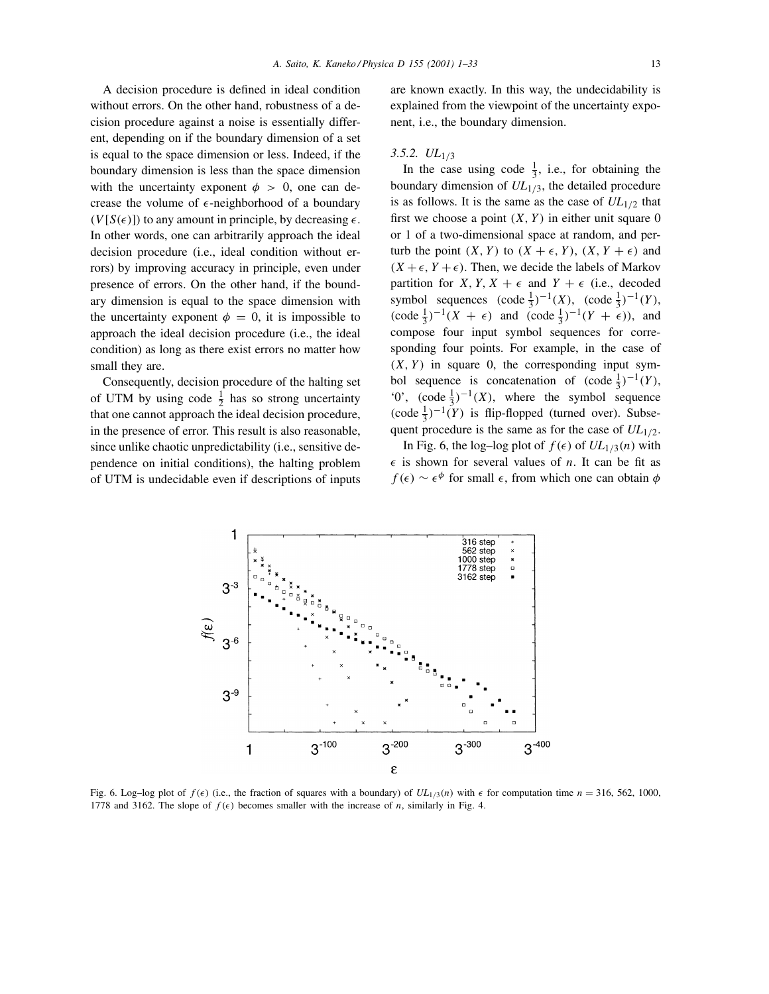A decision procedure is defined in ideal condition without errors. On the other hand, robustness of a decision procedure against a noise is essentially different, depending on if the boundary dimension of a set is equal to the space dimension or less. Indeed, if the boundary dimension is less than the space dimension with the uncertainty exponent  $\phi > 0$ , one can decrease the volume of  $\epsilon$ -neighborhood of a boundary  $(V[S(\epsilon)])$  to any amount in principle, by decreasing  $\epsilon$ . In other words, one can arbitrarily approach the ideal decision procedure (i.e., ideal condition without errors) by improving accuracy in principle, even under presence of errors. On the other hand, if the boundary dimension is equal to the space dimension with the uncertainty exponent  $\phi = 0$ , it is impossible to approach the ideal decision procedure (i.e., the ideal condition) as long as there exist errors no matter how small they are.

Consequently, decision procedure of the halting set of UTM by using code  $\frac{1}{2}$  has so strong uncertainty that one cannot approach the ideal decision procedure, in the presence of error. This result is also reasonable, since unlike chaotic unpredictability (i.e., sensitive dependence on initial conditions), the halting problem of UTM is undecidable even if descriptions of inputs

are known exactly. In this way, the undecidability is explained from the viewpoint of the uncertainty exponent, i.e., the boundary dimension.

### *3.5.2. UL*1/<sup>3</sup>

In the case using code  $\frac{1}{3}$ , i.e., for obtaining the boundary dimension of *UL*1/3, the detailed procedure is as follows. It is the same as the case of  $UL_{1/2}$  that first we choose a point  $(X, Y)$  in either unit square 0 or 1 of a two-dimensional space at random, and perturb the point  $(X, Y)$  to  $(X + \epsilon, Y)$ ,  $(X, Y + \epsilon)$  and  $(X + \epsilon, Y + \epsilon)$ . Then, we decide the labels of Markov partition for X, Y, X +  $\epsilon$  and Y +  $\epsilon$  (i.e., decoded symbol sequences  $(\text{code } \frac{1}{3})^{-1}(X)$ ,  $(\text{code } \frac{1}{3})^{-1}(Y)$ ,  $(\text{code } \frac{1}{3})^{-1}(X + \epsilon)$  and  $(\text{code } \frac{1}{3})^{-1}(Y + \epsilon)$ , and compose four input symbol sequences for corresponding four points. For example, in the case of  $(X, Y)$  in square 0, the corresponding input symbol sequence is concatenation of  $(\text{code } \frac{1}{3})^{-1}(Y)$ , '0',  $(\text{code } \frac{1}{3})^{-1}(X)$ , where the symbol sequence  $(\text{code } \frac{1}{3})^{-1}(Y)$  is flip-flopped (turned over). Subsequent procedure is the same as for the case of  $UL_{1/2}$ .

In Fig. 6, the log–log plot of  $f(\epsilon)$  of  $UL_{1/3}(n)$  with  $\epsilon$  is shown for several values of *n*. It can be fit as  $f(\epsilon) \sim \epsilon^{\phi}$  for small  $\epsilon$ , from which one can obtain  $\phi$ 



Fig. 6. Log–log plot of  $f(\epsilon)$  (i.e., the fraction of squares with a boundary) of  $UL_{1/3}(n)$  with  $\epsilon$  for computation time  $n = 316, 562, 1000$ , 1778 and 3162. The slope of  $f(\epsilon)$  becomes smaller with the increase of *n*, similarly in Fig. 4.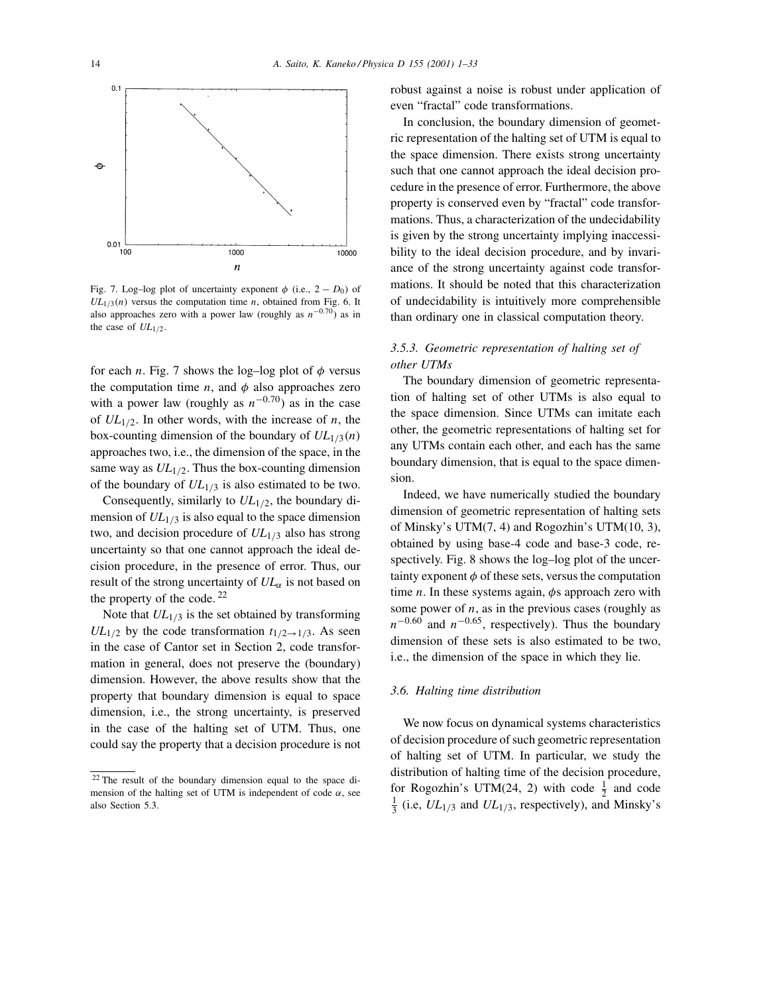

Fig. 7. Log–log plot of uncertainty exponent  $\phi$  (i.e., 2 – D<sub>0</sub>) of  $UL_{1/3}(n)$  versus the computation time n, obtained from Fig. 6. It also approaches zero with a power law (roughly as  $n^{-0.70}$ ) as in the case of  $UL_{1/2}$ .

for each *n*. Fig. 7 shows the log-log plot of  $\phi$  versus the computation time *n*, and  $\phi$  also approaches zero with a power law (roughly as  $n^{-0.70}$ ) as in the case of  $UL_{1/2}$ . In other words, with the increase of *n*, the box-counting dimension of the boundary of  $UL_{1/3}(n)$ approaches two, i.e., the dimension of the space, in the same way as *UL*1/2. Thus the box-counting dimension of the boundary of  $UL_{1/3}$  is also estimated to be two.

Consequently, similarly to *UL*1/2, the boundary dimension of  $UL_{1/3}$  is also equal to the space dimension two, and decision procedure of *UL*1/<sup>3</sup> also has strong uncertainty so that one cannot approach the ideal decision procedure, in the presence of error. Thus, our result of the strong uncertainty of  $UL_{\alpha}$  is not based on the property of the code.  $22$ 

Note that  $UL_{1/3}$  is the set obtained by transforming  $UL_{1/2}$  by the code transformation  $t_{1/2\rightarrow 1/3}$ . As seen in the case of Cantor set in Section 2, code transformation in general, does not preserve the (boundary) dimension. However, the above results show that the property that boundary dimension is equal to space dimension, i.e., the strong uncertainty, is preserved in the case of the halting set of UTM. Thus, one could say the property that a decision procedure is not robust against a noise is robust under application of even "fractal" code transformations.

In conclusion, the boundary dimension of geometric representation of the halting set of UTM is equal to the space dimension. There exists strong uncertainty such that one cannot approach the ideal decision procedure in the presence of error. Furthermore, the above property is conserved even by "fractal" code transformations. Thus, a characterization of the undecidability is given by the strong uncertainty implying inaccessibility to the ideal decision procedure, and by invariance of the strong uncertainty against code transformations. It should be noted that this characterization of undecidability is intuitively more comprehensible than ordinary one in classical computation theory.

# *3.5.3. Geometric representation of halting set of other UTMs*

The boundary dimension of geometric representation of halting set of other UTMs is also equal to the space dimension. Since UTMs can imitate each other, the geometric representations of halting set for any UTMs contain each other, and each has the same boundary dimension, that is equal to the space dimension.

Indeed, we have numerically studied the boundary dimension of geometric representation of halting sets of Minsky's UTM(7, 4) and Rogozhin's UTM(10, 3), obtained by using base-4 code and base-3 code, respectively. Fig. 8 shows the log–log plot of the uncertainty exponent  $\phi$  of these sets, versus the computation time *n*. In these systems again,  $\phi$ s approach zero with some power of  $n$ , as in the previous cases (roughly as  $n^{-0.60}$  and  $n^{-0.65}$ , respectively). Thus the boundary dimension of these sets is also estimated to be two, i.e., the dimension of the space in which they lie.

#### *3.6. Halting time distribution*

We now focus on dynamical systems characteristics of decision procedure of such geometric representation of halting set of UTM. In particular, we study the distribution of halting time of the decision procedure, for Rogozhin's UTM(24, 2) with code  $\frac{1}{2}$  and code  $\frac{1}{3}$  (i.e,  $UL_{1/3}$  and  $UL_{1/3}$ , respectively), and Minsky's

<sup>22</sup> The result of the boundary dimension equal to the space dimension of the halting set of UTM is independent of code  $\alpha$ , see also Section 5.3.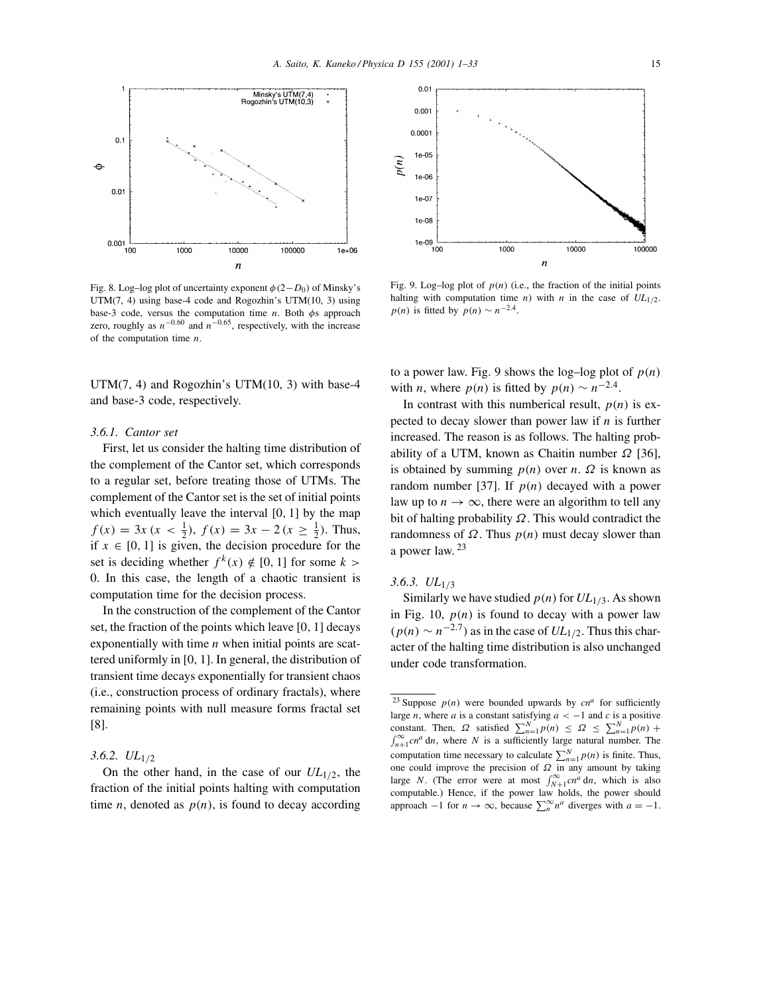

Fig. 8. Log–log plot of uncertainty exponent  $\phi$  (2−D<sub>0</sub>) of Minsky's UTM(7, 4) using base-4 code and Rogozhin's UTM(10, 3) using base-3 code, versus the computation time  $n$ . Both  $\phi$ s approach zero, roughly as  $n^{-0.60}$  and  $n^{-0.65}$ , respectively, with the increase of the computation time  $n$ .

UTM(7, 4) and Rogozhin's UTM(10, 3) with base-4 and base-3 code, respectively.

## *3.6.1. Cantor set*

First, let us consider the halting time distribution of the complement of the Cantor set, which corresponds to a regular set, before treating those of UTMs. The complement of the Cantor set is the set of initial points which eventually leave the interval [0, 1] by the map  $f(x) = 3x (x < \frac{1}{2}), f(x) = 3x - 2 (x \ge \frac{1}{2}).$  Thus, if  $x \in [0, 1]$  is given, the decision procedure for the set is deciding whether  $f^k(x) \notin [0, 1]$  for some  $k >$ 0. In this case, the length of a chaotic transient is computation time for the decision process.

In the construction of the complement of the Cantor set, the fraction of the points which leave [0, 1] decays exponentially with time  $n$  when initial points are scattered uniformly in [0, 1]. In general, the distribution of transient time decays exponentially for transient chaos (i.e., construction process of ordinary fractals), where remaining points with null measure forms fractal set [8].

# *3.6.2. UL*1/<sup>2</sup>

On the other hand, in the case of our *UL*1/2, the fraction of the initial points halting with computation time *n*, denoted as  $p(n)$ , is found to decay according



Fig. 9. Log–log plot of  $p(n)$  (i.e., the fraction of the initial points halting with computation time *n*) with *n* in the case of  $UL_{1/2}$ .  $p(n)$  is fitted by  $p(n) \sim n^{-2.4}$ .

to a power law. Fig. 9 shows the log-log plot of  $p(n)$ with *n*, where  $p(n)$  is fitted by  $p(n) \sim n^{-2.4}$ .

In contrast with this numberical result,  $p(n)$  is expected to decay slower than power law if  $n$  is further increased. The reason is as follows. The halting probability of a UTM, known as Chaitin number  $\Omega$  [36], is obtained by summing  $p(n)$  over n.  $\Omega$  is known as random number [37]. If  $p(n)$  decayed with a power law up to  $n \to \infty$ , there were an algorithm to tell any bit of halting probability  $\Omega$ . This would contradict the randomness of  $\Omega$ . Thus  $p(n)$  must decay slower than a power law. <sup>23</sup>

*3.6.3. UL*1/<sup>3</sup>

Similarly we have studied  $p(n)$  for  $UL_{1/3}$ . As shown in Fig. 10,  $p(n)$  is found to decay with a power law  $(p(n) \sim n^{-2.7})$  as in the case of  $UL_{1/2}$ . Thus this character of the halting time distribution is also unchanged under code transformation.

<sup>&</sup>lt;sup>23</sup> Suppose  $p(n)$  were bounded upwards by  $cn^a$  for sufficiently large *n*, where *a* is a constant satisfying  $a < -1$  and *c* is a positive constant. Then,  $\Omega$  satisfied  $\sum_{n=1}^{N} p(n) \leq \Omega \leq \sum_{n=1}^{N} p(n)$  +  $\int_{n+1}^{\infty}$  cn<sup>a</sup> dn, where N is a sufficiently large natural number. The computation time necessary to calculate  $\sum_{n=1}^{N} p(n)$  is finite. Thus, one could improve the precision of  $\Omega$  in any amount by taking large N. (The error were at most  $\int_{N+1}^{\infty} cn^a dn$ , which is also computable.) Hence, if the power law holds, the power should approach  $-1$  for  $n \to \infty$ , because  $\sum_{n=1}^{\infty} n^a$  diverges with  $a = -1$ .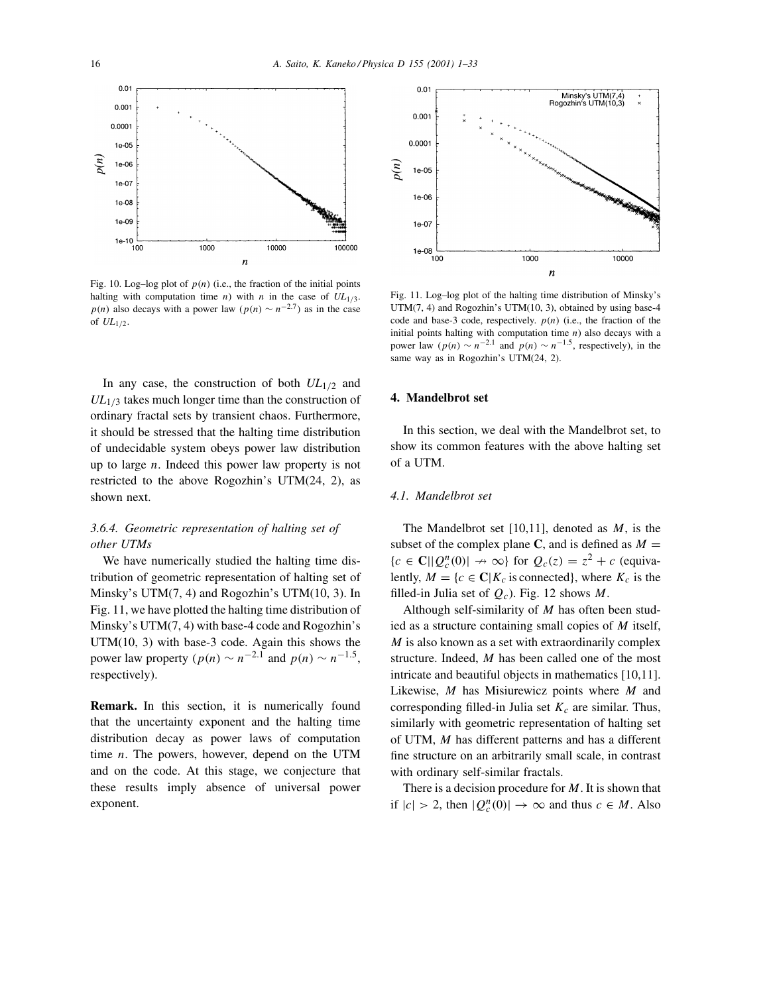

Fig. 10. Log-log plot of  $p(n)$  (i.e., the fraction of the initial points halting with computation time *n*) with *n* in the case of  $UL_{1/3}$ .  $p(n)$  also decays with a power law  $(p(n) \sim n^{-2.7})$  as in the case of *UL*1/2.

In any case, the construction of both *UL*1/<sup>2</sup> and *UL*1/<sup>3</sup> takes much longer time than the construction of ordinary fractal sets by transient chaos. Furthermore, it should be stressed that the halting time distribution of undecidable system obeys power law distribution up to large  $n$ . Indeed this power law property is not restricted to the above Rogozhin's UTM(24, 2), as shown next.

# *3.6.4. Geometric representation of halting set of other UTMs*

We have numerically studied the halting time distribution of geometric representation of halting set of Minsky's UTM(7, 4) and Rogozhin's UTM(10, 3). In Fig. 11, we have plotted the halting time distribution of Minsky's UTM(7, 4) with base-4 code and Rogozhin's UTM(10, 3) with base-3 code. Again this shows the power law property ( $p(n) \sim n^{-2.1}$  and  $p(n) \sim n^{-1.5}$ , respectively).

**Remark.** In this section, it is numerically found that the uncertainty exponent and the halting time distribution decay as power laws of computation time n. The powers, however, depend on the UTM and on the code. At this stage, we conjecture that these results imply absence of universal power exponent.



Fig. 11. Log–log plot of the halting time distribution of Minsky's UTM(7, 4) and Rogozhin's UTM(10, 3), obtained by using base-4 code and base-3 code, respectively.  $p(n)$  (i.e., the fraction of the initial points halting with computation time  $n$ ) also decays with a power law  $(p(n) \sim n^{-2.1}$  and  $p(n) \sim n^{-1.5}$ , respectively), in the same way as in Rogozhin's UTM(24, 2).

### **4. Mandelbrot set**

In this section, we deal with the Mandelbrot set, to show its common features with the above halting set of a UTM.

### *4.1. Mandelbrot set*

The Mandelbrot set  $[10,11]$ , denoted as M, is the subset of the complex plane **C**, and is defined as  $M =$  ${c \in \mathbb{C} \mid |Q_c^n(0)| \to \infty}$  for  $Q_c(z) = z^2 + c$  (equivalently,  $M = \{c \in \mathbb{C} | K_c \text{ is connected} \}$ , where  $K_c$  is the filled-in Julia set of  $Q_c$ ). Fig. 12 shows M.

Although self-similarity of  $M$  has often been studied as a structure containing small copies of M itself,  $M$  is also known as a set with extraordinarily complex structure. Indeed, M has been called one of the most intricate and beautiful objects in mathematics [10,11]. Likewise,  $M$  has Misiurewicz points where  $M$  and corresponding filled-in Julia set  $K_c$  are similar. Thus, similarly with geometric representation of halting set of UTM, M has different patterns and has a different fine structure on an arbitrarily small scale, in contrast with ordinary self-similar fractals.

There is a decision procedure for  $M$ . It is shown that if  $|c| > 2$ , then  $|Q_c^n(0)| \to \infty$  and thus  $c \in M$ . Also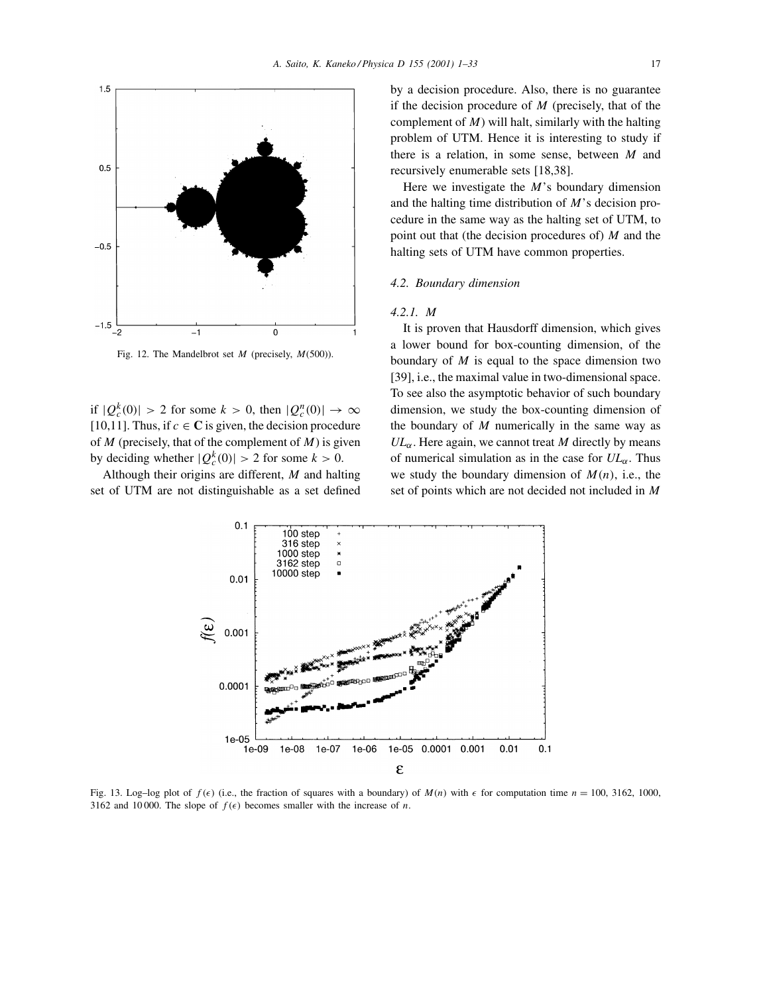

Fig. 12. The Mandelbrot set  $M$  (precisely,  $M(500)$ ).

if  $|Q_c^k(0)| > 2$  for some  $k > 0$ , then  $|Q_c^n(0)| \to \infty$ [10,11]. Thus, if  $c \in \mathbb{C}$  is given, the decision procedure of  $M$  (precisely, that of the complement of  $M$ ) is given by deciding whether  $|Q_c^k(0)| > 2$  for some  $k > 0$ .

Although their origins are different, M and halting set of UTM are not distinguishable as a set defined by a decision procedure. Also, there is no guarantee if the decision procedure of  $M$  (precisely, that of the complement of  $M$ ) will halt, similarly with the halting problem of UTM. Hence it is interesting to study if there is a relation, in some sense, between  $M$  and recursively enumerable sets [18,38].

Here we investigate the  $M$ 's boundary dimension and the halting time distribution of  $M$ 's decision procedure in the same way as the halting set of UTM, to point out that (the decision procedures of)  $M$  and the halting sets of UTM have common properties.

## *4.2. Boundary dimension*

# *4.2.1.* M

It is proven that Hausdorff dimension, which gives a lower bound for box-counting dimension, of the boundary of  $M$  is equal to the space dimension two [39], i.e., the maximal value in two-dimensional space. To see also the asymptotic behavior of such boundary dimension, we study the box-counting dimension of the boundary of  $M$  numerically in the same way as  $UL_{\alpha}$ . Here again, we cannot treat M directly by means of numerical simulation as in the case for  $UL_{\alpha}$ . Thus we study the boundary dimension of  $M(n)$ , i.e., the set of points which are not decided not included in M



Fig. 13. Log–log plot of  $f(\epsilon)$  (i.e., the fraction of squares with a boundary) of  $M(n)$  with  $\epsilon$  for computation time  $n = 100$ , 3162, 1000, 3162 and 10000. The slope of  $f(\epsilon)$  becomes smaller with the increase of n.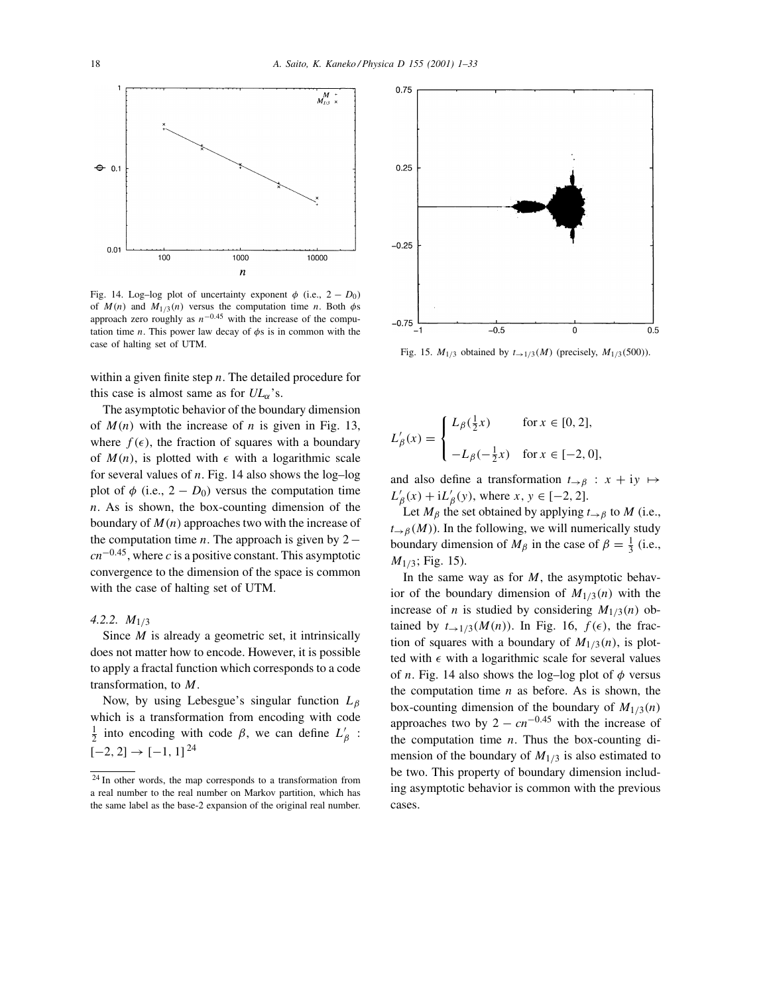

Fig. 14. Log–log plot of uncertainty exponent  $\phi$  (i.e., 2 – D<sub>0</sub>) of  $M(n)$  and  $M_{1/3}(n)$  versus the computation time n. Both  $\phi$ s approach zero roughly as  $n^{-0.45}$  with the increase of the computation time *n*. This power law decay of  $\phi$ s is in common with the case of halting set of UTM.

within a given finite step  $n$ . The detailed procedure for this case is almost same as for  $UL_{\alpha}$ 's.

The asymptotic behavior of the boundary dimension of  $M(n)$  with the increase of n is given in Fig. 13, where  $f(\epsilon)$ , the fraction of squares with a boundary of  $M(n)$ , is plotted with  $\epsilon$  with a logarithmic scale for several values of  $n$ . Fig. 14 also shows the log-log plot of  $\phi$  (i.e., 2 – D<sub>0</sub>) versus the computation time  $n.$  As is shown, the box-counting dimension of the boundary of  $M(n)$  approaches two with the increase of the computation time *n*. The approach is given by 2 –  $cn^{-0.45}$ , where c is a positive constant. This asymptotic convergence to the dimension of the space is common with the case of halting set of UTM.

*4.2.2.* M1/<sup>3</sup>

Since  $M$  is already a geometric set, it intrinsically does not matter how to encode. However, it is possible to apply a fractal function which corresponds to a code transformation, to M.

Now, by using Lebesgue's singular function  $L_\beta$ which is a transformation from encoding with code  $\frac{1}{2}$  into encoding with code  $\beta$ , we can define  $L'_{\beta}$ :  $[-2, 2] \rightarrow [-1, 1]^{24}$ 



Fig. 15.  $M_{1/3}$  obtained by  $t_{\rightarrow 1/3}(M)$  (precisely,  $M_{1/3}(500)$ ).

$$
L'_{\beta}(x) = \begin{cases} L_{\beta}(\frac{1}{2}x) & \text{for } x \in [0, 2], \\ -L_{\beta}(-\frac{1}{2}x) & \text{for } x \in [-2, 0], \end{cases}
$$

and also define a transformation  $t_{\rightarrow\beta}$  :  $x + iy \mapsto$  $L'_{\beta}(x) + iL'_{\beta}(y)$ , where  $x, y \in [-2, 2]$ .

Let  $M_\beta$  the set obtained by applying  $t_{\rightarrow \beta}$  to M (i.e.,  $t_{\rightarrow\beta}(M)$ ). In the following, we will numerically study boundary dimension of  $M_\beta$  in the case of  $\beta = \frac{1}{3}$  (i.e.,  $M_{1/3}$ ; Fig. 15).

In the same way as for  $M$ , the asymptotic behavior of the boundary dimension of  $M_{1/3}(n)$  with the increase of *n* is studied by considering  $M_{1/3}(n)$  obtained by  $t_{\rightarrow 1/3}(M(n))$ . In Fig. 16,  $f(\epsilon)$ , the fraction of squares with a boundary of  $M_{1/3}(n)$ , is plotted with  $\epsilon$  with a logarithmic scale for several values of *n*. Fig. 14 also shows the log-log plot of  $\phi$  versus the computation time  $n$  as before. As is shown, the box-counting dimension of the boundary of  $M_{1/3}(n)$ approaches two by  $2 - cn^{-0.45}$  with the increase of the computation time  $n$ . Thus the box-counting dimension of the boundary of  $M_{1/3}$  is also estimated to be two. This property of boundary dimension including asymptotic behavior is common with the previous cases.

<sup>24</sup> In other words, the map corresponds to a transformation from a real number to the real number on Markov partition, which has the same label as the base-2 expansion of the original real number.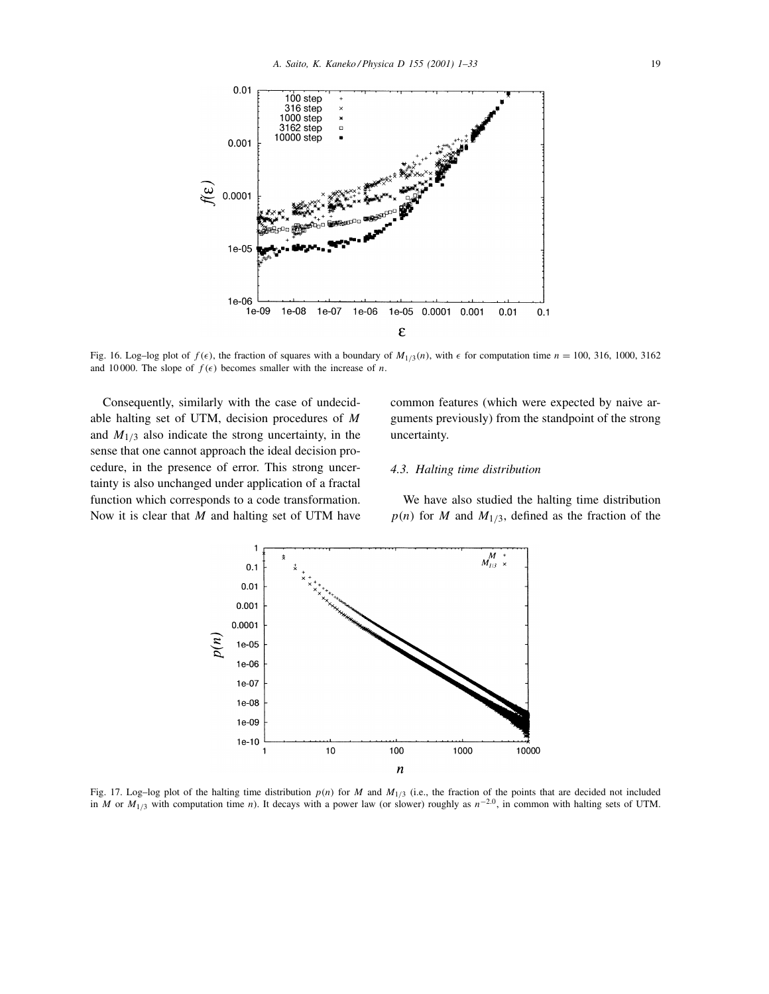

Fig. 16. Log–log plot of  $f(\epsilon)$ , the fraction of squares with a boundary of  $M_{1/3}(n)$ , with  $\epsilon$  for computation time  $n = 100, 316, 1000, 3162$ and 10000. The slope of  $f(\epsilon)$  becomes smaller with the increase of n.

Consequently, similarly with the case of undecidable halting set of UTM, decision procedures of M and  $M_{1/3}$  also indicate the strong uncertainty, in the sense that one cannot approach the ideal decision procedure, in the presence of error. This strong uncertainty is also unchanged under application of a fractal function which corresponds to a code transformation. Now it is clear that  $M$  and halting set of UTM have common features (which were expected by naive arguments previously) from the standpoint of the strong uncertainty.

## *4.3. Halting time distribution*

We have also studied the halting time distribution  $p(n)$  for M and  $M_{1/3}$ , defined as the fraction of the



Fig. 17. Log–log plot of the halting time distribution  $p(n)$  for M and  $M_{1/3}$  (i.e., the fraction of the points that are decided not included in M or  $M_{1/3}$  with computation time n). It decays with a power law (or slower) roughly as  $n^{-2.0}$ , in common with halting sets of UTM.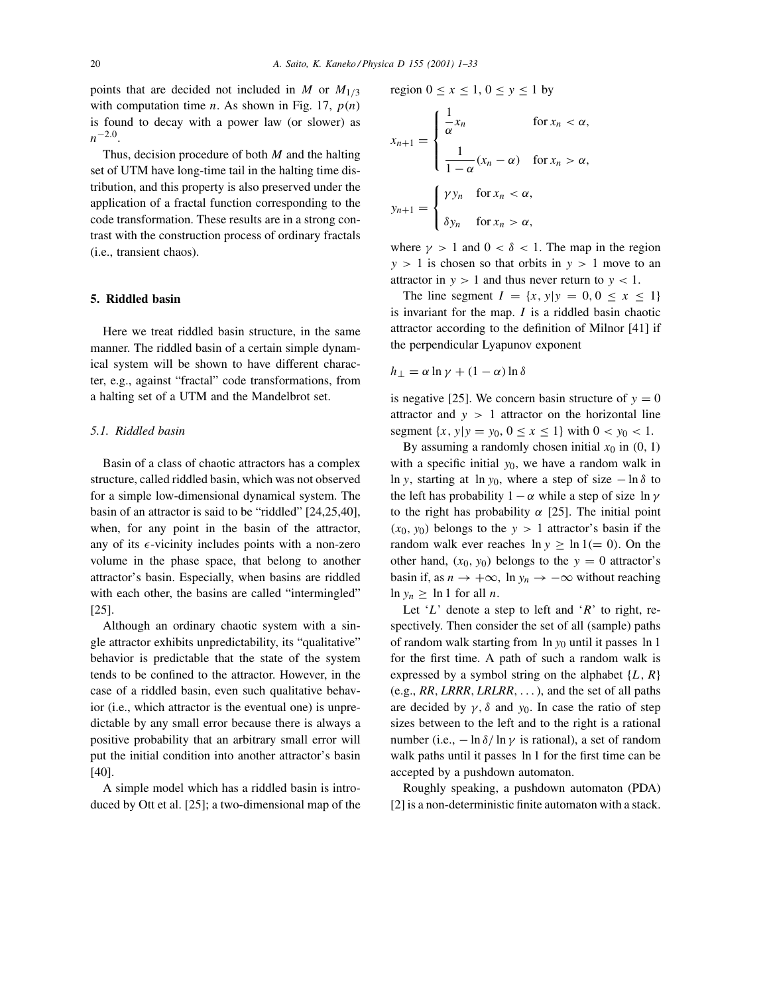points that are decided not included in M or  $M_{1/3}$ with computation time *n*. As shown in Fig. 17,  $p(n)$ is found to decay with a power law (or slower) as  $n^{-2.0}$ .

Thus, decision procedure of both  $M$  and the halting set of UTM have long-time tail in the halting time distribution, and this property is also preserved under the application of a fractal function corresponding to the code transformation. These results are in a strong contrast with the construction process of ordinary fractals (i.e., transient chaos).

### **5. Riddled basin**

Here we treat riddled basin structure, in the same manner. The riddled basin of a certain simple dynamical system will be shown to have different character, e.g., against "fractal" code transformations, from a halting set of a UTM and the Mandelbrot set.

### *5.1. Riddled basin*

Basin of a class of chaotic attractors has a complex structure, called riddled basin, which was not observed for a simple low-dimensional dynamical system. The basin of an attractor is said to be "riddled" [24,25,40], when, for any point in the basin of the attractor, any of its  $\epsilon$ -vicinity includes points with a non-zero volume in the phase space, that belong to another attractor's basin. Especially, when basins are riddled with each other, the basins are called "intermingled" [25].

Although an ordinary chaotic system with a single attractor exhibits unpredictability, its "qualitative" behavior is predictable that the state of the system tends to be confined to the attractor. However, in the case of a riddled basin, even such qualitative behavior (i.e., which attractor is the eventual one) is unpredictable by any small error because there is always a positive probability that an arbitrary small error will put the initial condition into another attractor's basin [40].

A simple model which has a riddled basin is introduced by Ott et al. [25]; a two-dimensional map of the

region 
$$
0 \le x \le 1
$$
,  $0 \le y \le 1$  by

$$
x_{n+1} = \begin{cases} \frac{1}{\alpha}x_n & \text{for } x_n < \alpha, \\ \frac{1}{1-\alpha}(x_n - \alpha) & \text{for } x_n > \alpha, \end{cases}
$$

$$
y_{n+1} = \begin{cases} \gamma y_n & \text{for } x_n < \alpha, \\ \delta y_n & \text{for } x_n > \alpha, \end{cases}
$$

where  $\gamma > 1$  and  $0 < \delta < 1$ . The map in the region  $y > 1$  is chosen so that orbits in  $y > 1$  move to an attractor in  $y > 1$  and thus never return to  $y < 1$ .

The line segment  $I = \{x, y | y = 0, 0 \le x \le 1\}$ is invariant for the map.  $I$  is a riddled basin chaotic attractor according to the definition of Milnor [41] if the perpendicular Lyapunov exponent

$$
h_{\perp} = \alpha \ln \gamma + (1 - \alpha) \ln \delta
$$

is negative [25]. We concern basin structure of  $y = 0$ attractor and  $y > 1$  attractor on the horizontal line segment  $\{x, y | y = y_0, 0 \le x \le 1\}$  with  $0 < y_0 < 1$ .

By assuming a randomly chosen initial  $x_0$  in  $(0, 1)$ with a specific initial  $y_0$ , we have a random walk in ln y, starting at ln y<sub>0</sub>, where a step of size  $-\ln \delta$  to the left has probability  $1 - \alpha$  while a step of size ln  $\gamma$ to the right has probability  $\alpha$  [25]. The initial point  $(x_0, y_0)$  belongs to the  $y > 1$  attractor's basin if the random walk ever reaches  $\ln y \ge \ln 1 (= 0)$ . On the other hand,  $(x_0, y_0)$  belongs to the  $y = 0$  attractor's basin if, as  $n \to +\infty$ , ln  $y_n \to -\infty$  without reaching ln  $y_n \geq \ln 1$  for all *n*.

Let 'L' denote a step to left and 'R' to right, respectively. Then consider the set of all (sample) paths of random walk starting from  $\ln y_0$  until it passes  $\ln 1$ for the first time. A path of such a random walk is expressed by a symbol string on the alphabet  $\{L, R\}$ (e.g., *RR*, *LRRR*, *LRLRR*,... ), and the set of all paths are decided by  $\gamma$ ,  $\delta$  and  $y_0$ . In case the ratio of step sizes between to the left and to the right is a rational number (i.e.,  $-\ln \delta / \ln \gamma$  is rational), a set of random walk paths until it passes ln 1 for the first time can be accepted by a pushdown automaton.

Roughly speaking, a pushdown automaton (PDA) [2] is a non-deterministic finite automaton with a stack.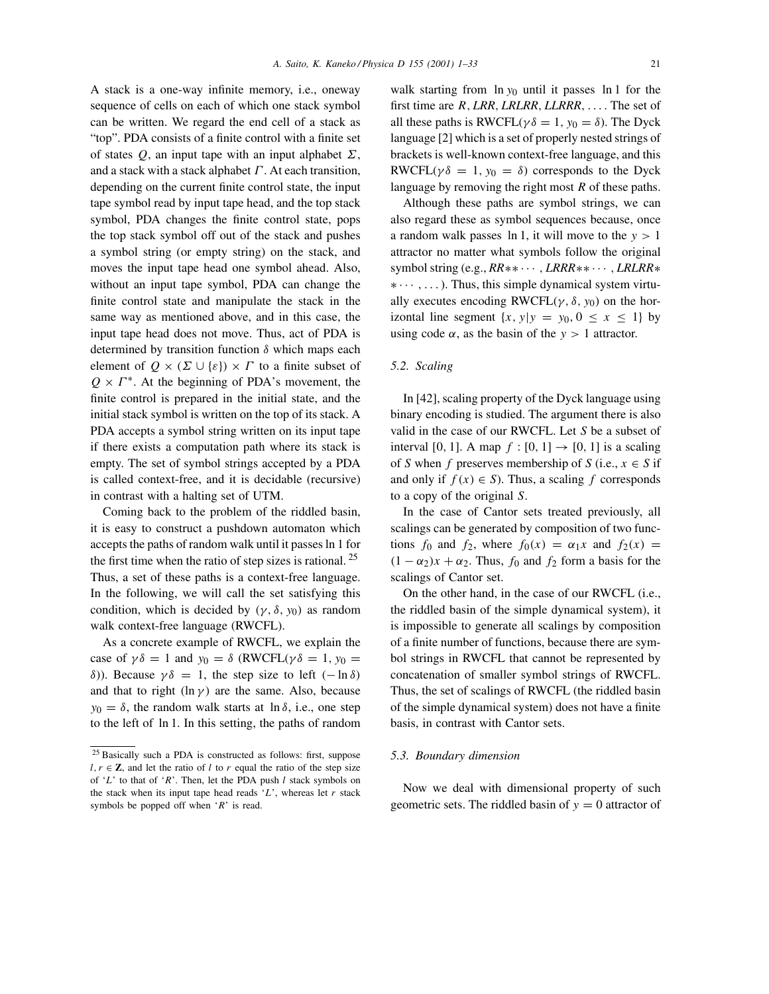A stack is a one-way infinite memory, i.e., oneway sequence of cells on each of which one stack symbol can be written. We regard the end cell of a stack as "top". PDA consists of a finite control with a finite set of states Q, an input tape with an input alphabet  $\Sigma$ , and a stack with a stack alphabet  $\Gamma$ . At each transition, depending on the current finite control state, the input tape symbol read by input tape head, and the top stack symbol, PDA changes the finite control state, pops the top stack symbol off out of the stack and pushes a symbol string (or empty string) on the stack, and moves the input tape head one symbol ahead. Also, without an input tape symbol, PDA can change the finite control state and manipulate the stack in the same way as mentioned above, and in this case, the input tape head does not move. Thus, act of PDA is determined by transition function  $\delta$  which maps each element of  $Q \times (\Sigma \cup \{\varepsilon\}) \times \Gamma$  to a finite subset of  $Q \times \Gamma^*$ . At the beginning of PDA's movement, the finite control is prepared in the initial state, and the initial stack symbol is written on the top of its stack. A PDA accepts a symbol string written on its input tape if there exists a computation path where its stack is empty. The set of symbol strings accepted by a PDA is called context-free, and it is decidable (recursive) in contrast with a halting set of UTM.

Coming back to the problem of the riddled basin, it is easy to construct a pushdown automaton which accepts the paths of random walk until it passes ln 1 for the first time when the ratio of step sizes is rational.  $25$ Thus, a set of these paths is a context-free language. In the following, we will call the set satisfying this condition, which is decided by  $(\gamma, \delta, \gamma_0)$  as random walk context-free language (RWCFL).

As a concrete example of RWCFL, we explain the case of  $\gamma \delta = 1$  and  $y_0 = \delta$  (RWCFL( $\gamma \delta = 1$ ,  $y_0 =$ δ)). Because  $\gamma \delta = 1$ , the step size to left (-ln δ) and that to right (ln  $\gamma$ ) are the same. Also, because  $y_0 = \delta$ , the random walk starts at ln  $\delta$ , i.e., one step to the left of ln 1. In this setting, the paths of random

walk starting from  $\ln y_0$  until it passes  $\ln 1$  for the first time are R, *LRR*, *LRLRR*, *LLRRR*,... . The set of all these paths is RWCFL( $\gamma \delta = 1$ ,  $y_0 = \delta$ ). The Dyck language [2] which is a set of properly nested strings of brackets is well-known context-free language, and this RWCFL( $\gamma \delta = 1$ ,  $y_0 = \delta$ ) corresponds to the Dyck language by removing the right most  $R$  of these paths.

Although these paths are symbol strings, we can also regard these as symbol sequences because, once a random walk passes ln 1, it will move to the  $y > 1$ attractor no matter what symbols follow the original symbol string (e.g., *RR*∗∗··· , *LRRR*∗∗··· , *LRLRR*∗ ∗··· ,...). Thus, this simple dynamical system virtually executes encoding RWCFL( $\gamma$ ,  $\delta$ ,  $\gamma_0$ ) on the horizontal line segment  $\{x, y | y = y_0, 0 \le x \le 1\}$  by using code  $\alpha$ , as the basin of the  $y > 1$  attractor.

# *5.2. Scaling*

In [42], scaling property of the Dyck language using binary encoding is studied. The argument there is also valid in the case of our RWCFL. Let S be a subset of interval [0, 1]. A map  $f : [0, 1] \rightarrow [0, 1]$  is a scaling of S when f preserves membership of S (i.e.,  $x \in S$  if and only if  $f(x) \in S$ ). Thus, a scaling f corresponds to a copy of the original S.

In the case of Cantor sets treated previously, all scalings can be generated by composition of two functions  $f_0$  and  $f_2$ , where  $f_0(x) = \alpha_1 x$  and  $f_2(x) =$  $(1 - \alpha_2)x + \alpha_2$ . Thus,  $f_0$  and  $f_2$  form a basis for the scalings of Cantor set.

On the other hand, in the case of our RWCFL (i.e., the riddled basin of the simple dynamical system), it is impossible to generate all scalings by composition of a finite number of functions, because there are symbol strings in RWCFL that cannot be represented by concatenation of smaller symbol strings of RWCFL. Thus, the set of scalings of RWCFL (the riddled basin of the simple dynamical system) does not have a finite basis, in contrast with Cantor sets.

#### *5.3. Boundary dimension*

Now we deal with dimensional property of such geometric sets. The riddled basin of  $y = 0$  attractor of

<sup>&</sup>lt;sup>25</sup> Basically such a PDA is constructed as follows: first, suppose  $l, r \in \mathbb{Z}$ , and let the ratio of l to r equal the ratio of the step size of 'L' to that of 'R'. Then, let the PDA push  $l$  stack symbols on the stack when its input tape head reads ' $L$ ', whereas let  $r$  stack symbols be popped off when  $'R'$  is read.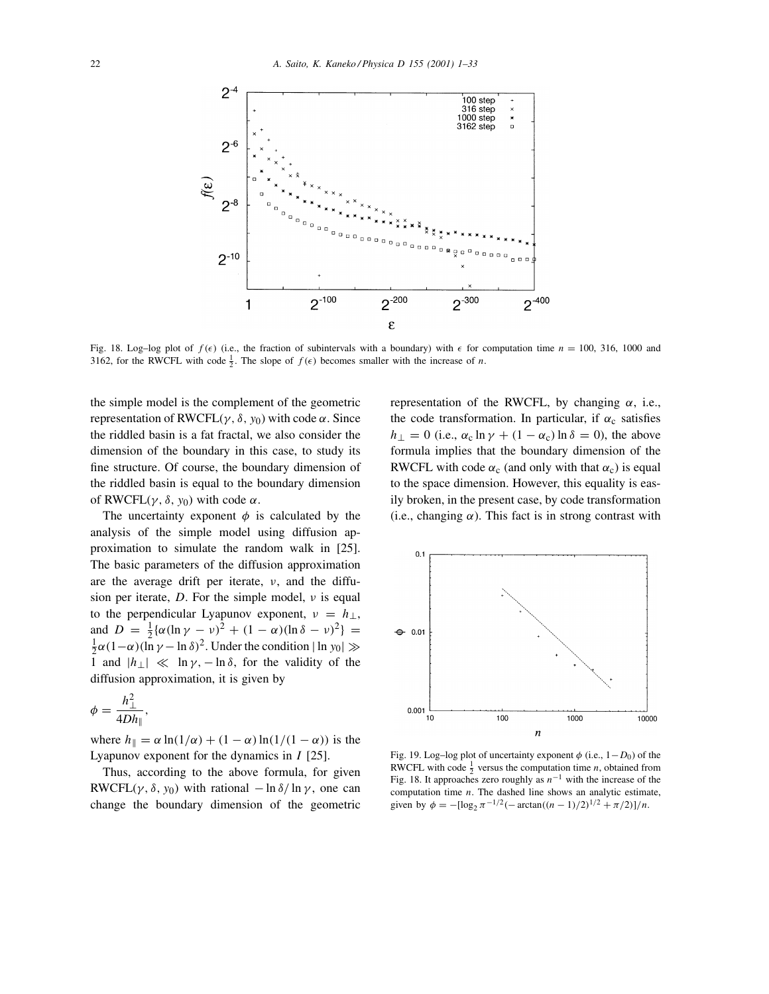

Fig. 18. Log–log plot of  $f(\epsilon)$  (i.e., the fraction of subintervals with a boundary) with  $\epsilon$  for computation time  $n = 100$ , 316, 1000 and 3162, for the RWCFL with code  $\frac{1}{2}$ . The slope of  $f(\epsilon)$  becomes smaller with the increase of *n*.

the simple model is the complement of the geometric representation of RWCFL( $γ$ ,  $δ$ ,  $y_0$ ) with code  $α$ . Since the riddled basin is a fat fractal, we also consider the dimension of the boundary in this case, to study its fine structure. Of course, the boundary dimension of the riddled basin is equal to the boundary dimension of RWCFL( $\gamma$ ,  $\delta$ ,  $\nu_0$ ) with code  $\alpha$ .

The uncertainty exponent  $\phi$  is calculated by the analysis of the simple model using diffusion approximation to simulate the random walk in [25]. The basic parameters of the diffusion approximation are the average drift per iterate,  $\nu$ , and the diffusion per iterate,  $D$ . For the simple model,  $\nu$  is equal to the perpendicular Lyapunov exponent,  $v = h_{\perp}$ , and  $D = \frac{1}{2} {\{\alpha (\ln \gamma - \nu)^2 + (1 - \alpha)(\ln \delta - \nu)^2\}} =$  $\frac{1}{2}\alpha(1-\alpha)(\ln \gamma - \ln \delta)^2$ . Under the condition  $|\ln y_0| \gg$ 1 and  $|h_{\perp}| \ll \ln \gamma$ , - ln  $\delta$ , for the validity of the diffusion approximation, it is given by

$$
\phi = \frac{h_{\perp}^2}{4Dh_{\parallel}},
$$

where  $h_{\parallel} = \alpha \ln(1/\alpha) + (1 - \alpha) \ln(1/(1 - \alpha))$  is the Lyapunov exponent for the dynamics in  $I$  [25].

Thus, according to the above formula, for given RWCFL( $\gamma$ ,  $\delta$ ,  $y_0$ ) with rational  $-\ln \delta / \ln \gamma$ , one can change the boundary dimension of the geometric

representation of the RWCFL, by changing α, i.e., the code transformation. In particular, if  $\alpha_c$  satisfies  $h_{\perp} = 0$  (i.e.,  $\alpha_c \ln \gamma + (1 - \alpha_c) \ln \delta = 0$ ), the above formula implies that the boundary dimension of the RWCFL with code  $\alpha_c$  (and only with that  $\alpha_c$ ) is equal to the space dimension. However, this equality is easily broken, in the present case, by code transformation (i.e., changing  $\alpha$ ). This fact is in strong contrast with



Fig. 19. Log–log plot of uncertainty exponent  $\phi$  (i.e., 1–D<sub>0</sub>) of the RWCFL with code  $\frac{1}{2}$  versus the computation time *n*, obtained from Fig. 18. It approaches zero roughly as  $n^{-1}$  with the increase of the computation time  $n$ . The dashed line shows an analytic estimate, given by  $\phi = -[\log_2 \pi^{-1/2}(-\arctan((n-1)/2)^{1/2} + \pi/2)]/n$ .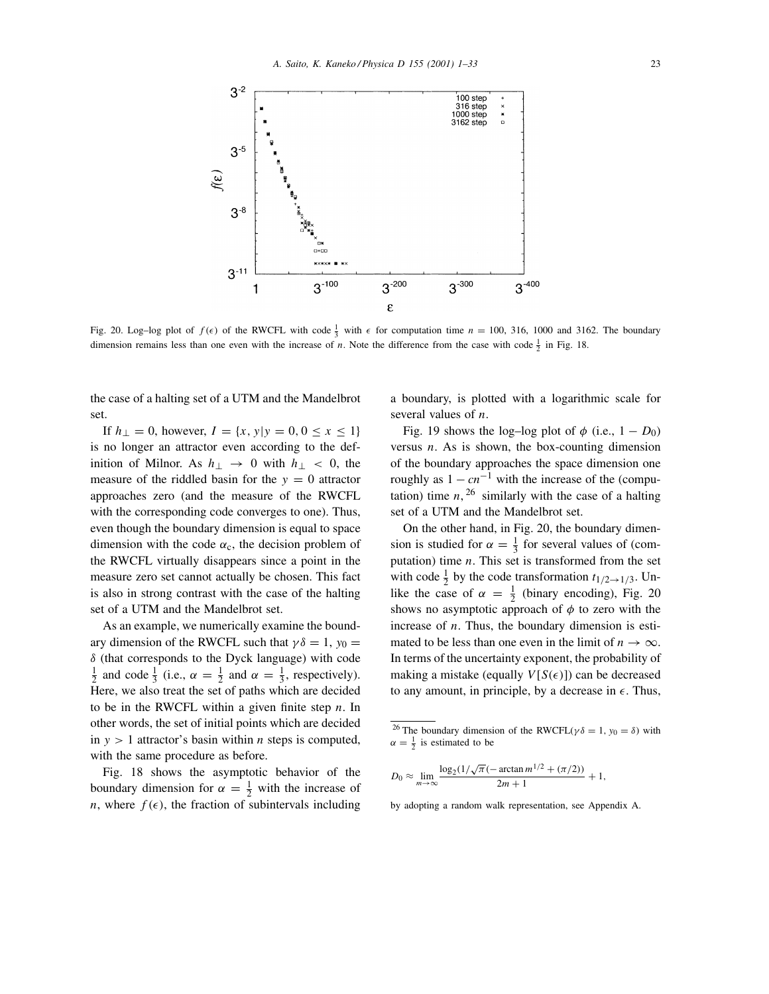

Fig. 20. Log–log plot of  $f(\epsilon)$  of the RWCFL with code  $\frac{1}{3}$  with  $\epsilon$  for computation time  $n = 100, 316, 1000$  and 3162. The boundary dimension remains less than one even with the increase of *n*. Note the difference from the case with code  $\frac{1}{2}$  in Fig. 18.

the case of a halting set of a UTM and the Mandelbrot set.

If  $h_{\perp} = 0$ , however,  $I = \{x, y | y = 0, 0 \le x \le 1\}$ is no longer an attractor even according to the definition of Milnor. As  $h_{\perp} \rightarrow 0$  with  $h_{\perp} < 0$ , the measure of the riddled basin for the  $y = 0$  attractor approaches zero (and the measure of the RWCFL with the corresponding code converges to one). Thus, even though the boundary dimension is equal to space dimension with the code  $\alpha_c$ , the decision problem of the RWCFL virtually disappears since a point in the measure zero set cannot actually be chosen. This fact is also in strong contrast with the case of the halting set of a UTM and the Mandelbrot set.

As an example, we numerically examine the boundary dimension of the RWCFL such that  $\gamma \delta = 1$ ,  $y_0 =$  $\delta$  (that corresponds to the Dyck language) with code  $\frac{1}{2}$  and code  $\frac{1}{3}$  (i.e.,  $\alpha = \frac{1}{2}$  and  $\alpha = \frac{1}{3}$ , respectively). Here, we also treat the set of paths which are decided to be in the RWCFL within a given finite step  $n$ . In other words, the set of initial points which are decided in  $y > 1$  attractor's basin within *n* steps is computed, with the same procedure as before.

Fig. 18 shows the asymptotic behavior of the boundary dimension for  $\alpha = \frac{1}{2}$  with the increase of *n*, where  $f(\epsilon)$ , the fraction of subintervals including

a boundary, is plotted with a logarithmic scale for several values of n.

Fig. 19 shows the log–log plot of  $\phi$  (i.e.,  $1 - D_0$ ) versus  $n$ . As is shown, the box-counting dimension of the boundary approaches the space dimension one roughly as  $1 - cn^{-1}$  with the increase of the (computation) time  $n<sup>26</sup>$  similarly with the case of a halting set of a UTM and the Mandelbrot set.

On the other hand, in Fig. 20, the boundary dimension is studied for  $\alpha = \frac{1}{3}$  for several values of (computation) time  $n$ . This set is transformed from the set with code  $\frac{1}{2}$  by the code transformation  $t_{1/2\rightarrow 1/3}$ . Unlike the case of  $\alpha = \frac{1}{2}$  (binary encoding), Fig. 20 shows no asymptotic approach of  $\phi$  to zero with the increase of  $n$ . Thus, the boundary dimension is estimated to be less than one even in the limit of  $n \to \infty$ . In terms of the uncertainty exponent, the probability of making a mistake (equally  $V[S(\epsilon)]$ ) can be decreased to any amount, in principle, by a decrease in  $\epsilon$ . Thus,

$$
D_0 \approx \lim_{m \to \infty} \frac{\log_2(1/\sqrt{\pi}(-\arctan m^{1/2} + (\pi/2))}{2m + 1} + 1,
$$

by adopting a random walk representation, see Appendix A.

<sup>&</sup>lt;sup>26</sup> The boundary dimension of the RWCFL( $\gamma \delta = 1$ ,  $y_0 = \delta$ ) with  $\alpha = \frac{1}{2}$  is estimated to be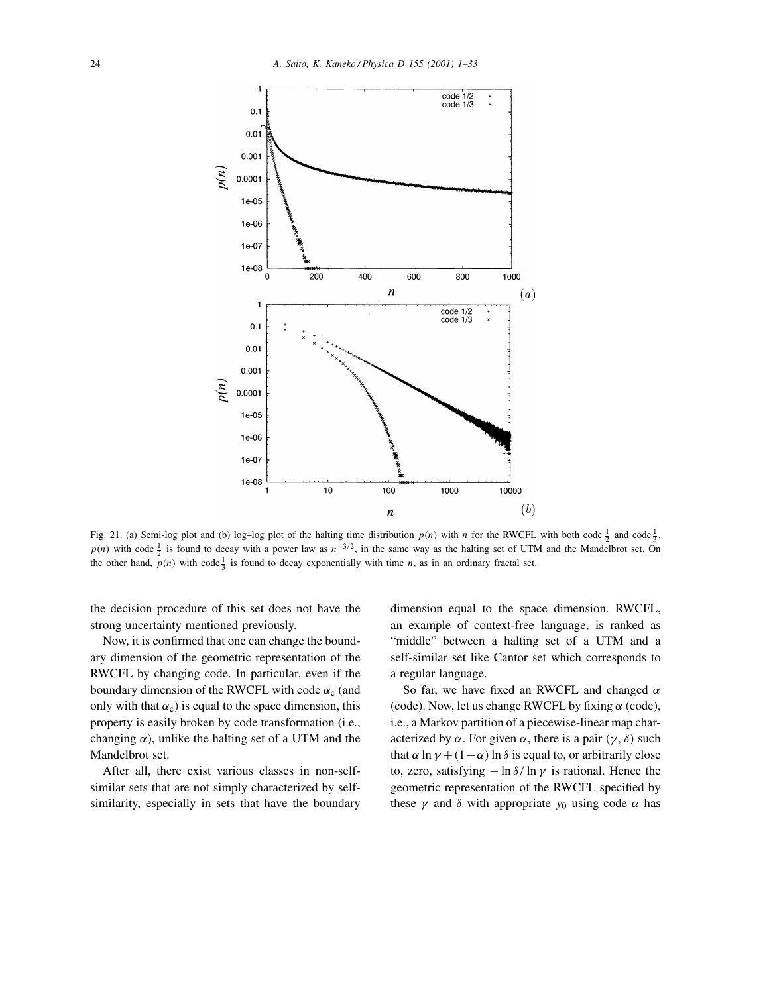

Fig. 21. (a) Semi-log plot and (b) log-log plot of the halting time distribution  $p(n)$  with n for the RWCFL with both code  $\frac{1}{2}$  and code  $\frac{1}{3}$ .  $p(n)$  with code  $\frac{1}{2}$  is found to decay with a power law as  $n^{-3/2}$ , in the same way as the halting set of UTM and the Mandelbrot set. On the other hand,  $p(n)$  with code  $\frac{1}{3}$  is found to decay exponentially with time n, as in an ordinary fractal set.

the decision procedure of this set does not have the strong uncertainty mentioned previously.

Now, it is confirmed that one can change the boundary dimension of the geometric representation of the RWCFL by changing code. In particular, even if the boundary dimension of the RWCFL with code  $\alpha_c$  (and only with that  $\alpha_c$ ) is equal to the space dimension, this property is easily broken by code transformation (i.e., changing  $\alpha$ ), unlike the halting set of a UTM and the Mandelbrot set.

After all, there exist various classes in non-selfsimilar sets that are not simply characterized by selfsimilarity, especially in sets that have the boundary dimension equal to the space dimension. RWCFL, an example of context-free language, is ranked as "middle" between a halting set of a UTM and a self-similar set like Cantor set which corresponds to a regular language.

So far, we have fixed an RWCFL and changed  $\alpha$ (code). Now, let us change RWCFL by fixing  $\alpha$  (code), i.e., a Markov partition of a piecewise-linear map characterized by  $\alpha$ . For given  $\alpha$ , there is a pair  $(\gamma, \delta)$  such that  $\alpha \ln \gamma + (1 - \alpha) \ln \delta$  is equal to, or arbitrarily close to, zero, satisfying  $-\ln \delta / \ln \gamma$  is rational. Hence the geometric representation of the RWCFL specified by these  $\gamma$  and  $\delta$  with appropriate  $y_0$  using code  $\alpha$  has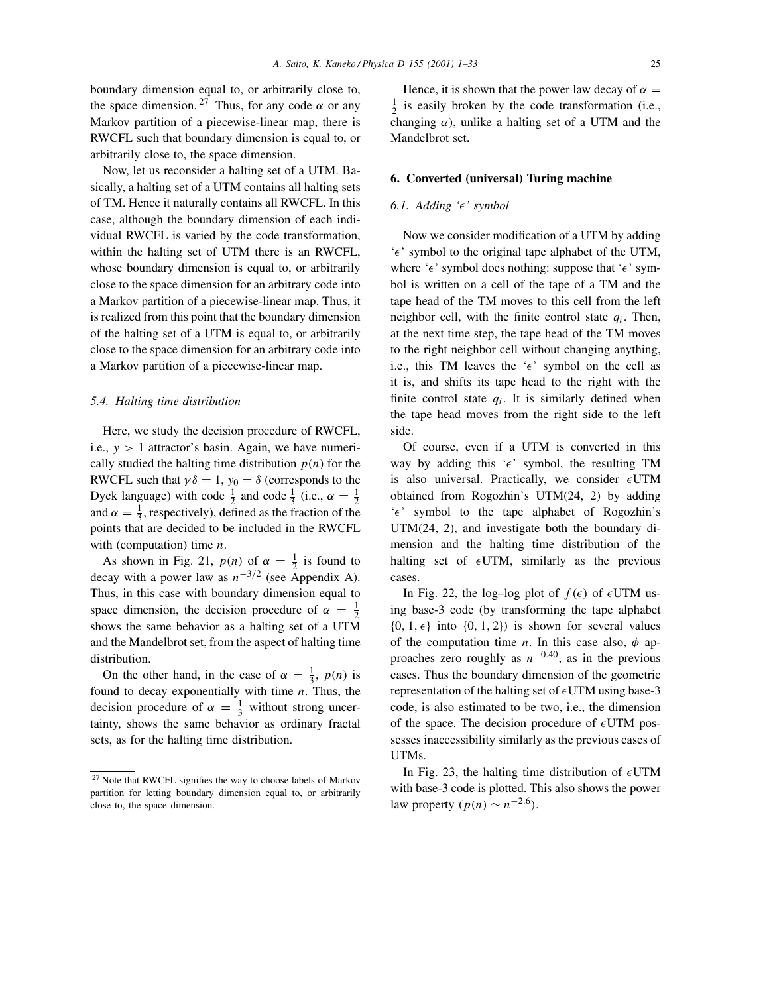boundary dimension equal to, or arbitrarily close to, the space dimension.<sup>27</sup> Thus, for any code  $\alpha$  or any Markov partition of a piecewise-linear map, there is RWCFL such that boundary dimension is equal to, or arbitrarily close to, the space dimension.

Now, let us reconsider a halting set of a UTM. Basically, a halting set of a UTM contains all halting sets of TM. Hence it naturally contains all RWCFL. In this case, although the boundary dimension of each individual RWCFL is varied by the code transformation, within the halting set of UTM there is an RWCFL, whose boundary dimension is equal to, or arbitrarily close to the space dimension for an arbitrary code into a Markov partition of a piecewise-linear map. Thus, it is realized from this point that the boundary dimension of the halting set of a UTM is equal to, or arbitrarily close to the space dimension for an arbitrary code into a Markov partition of a piecewise-linear map.

# *5.4. Halting time distribution*

Here, we study the decision procedure of RWCFL, i.e.,  $y > 1$  attractor's basin. Again, we have numerically studied the halting time distribution  $p(n)$  for the RWCFL such that  $\gamma \delta = 1$ ,  $y_0 = \delta$  (corresponds to the Dyck language) with code  $\frac{1}{2}$  and code  $\frac{1}{3}$  (i.e.,  $\alpha = \frac{1}{2}$ and  $\alpha = \frac{1}{3}$ , respectively), defined as the fraction of the points that are decided to be included in the RWCFL with (computation) time  $n$ .

As shown in Fig. 21,  $p(n)$  of  $\alpha = \frac{1}{2}$  is found to decay with a power law as  $n^{-3/2}$  (see Appendix A). Thus, in this case with boundary dimension equal to space dimension, the decision procedure of  $\alpha = \frac{1}{2}$ shows the same behavior as a halting set of a UTM and the Mandelbrot set, from the aspect of halting time distribution.

On the other hand, in the case of  $\alpha = \frac{1}{3}$ ,  $p(n)$  is found to decay exponentially with time  $n$ . Thus, the decision procedure of  $\alpha = \frac{1}{3}$  without strong uncertainty, shows the same behavior as ordinary fractal sets, as for the halting time distribution.

Hence, it is shown that the power law decay of  $\alpha =$  $\frac{1}{2}$  is easily broken by the code transformation (i.e., changing  $\alpha$ ), unlike a halting set of a UTM and the Mandelbrot set.

## **6. Converted (universal) Turing machine**

### *6.1. Adding '' symbol*

Now we consider modification of a UTM by adding  $\epsilon$ ' symbol to the original tape alphabet of the UTM, where ' $\epsilon$ ' symbol does nothing: suppose that ' $\epsilon$ ' symbol is written on a cell of the tape of a TM and the tape head of the TM moves to this cell from the left neighbor cell, with the finite control state  $q_i$ . Then, at the next time step, the tape head of the TM moves to the right neighbor cell without changing anything, i.e., this TM leaves the ' $\epsilon$ ' symbol on the cell as it is, and shifts its tape head to the right with the finite control state  $q_i$ . It is similarly defined when the tape head moves from the right side to the left side.

Of course, even if a UTM is converted in this way by adding this ' $\epsilon$ ' symbol, the resulting TM is also universal. Practically, we consider  $\epsilon$ UTM obtained from Rogozhin's UTM(24, 2) by adding  $\epsilon$  symbol to the tape alphabet of Rogozhin's UTM(24, 2), and investigate both the boundary dimension and the halting time distribution of the halting set of  $\epsilon$ UTM, similarly as the previous cases.

In Fig. 22, the log-log plot of  $f(\epsilon)$  of  $\epsilon$ UTM using base-3 code (by transforming the tape alphabet  $\{0, 1, \epsilon\}$  into  $\{0, 1, 2\}$  is shown for several values of the computation time *n*. In this case also,  $\phi$  approaches zero roughly as  $n^{-0.40}$ , as in the previous cases. Thus the boundary dimension of the geometric representation of the halting set of  $\epsilon$ UTM using base-3 code, is also estimated to be two, i.e., the dimension of the space. The decision procedure of  $\epsilon$ UTM possesses inaccessibility similarly as the previous cases of UTMs.

In Fig. 23, the halting time distribution of  $\epsilon$ UTM with base-3 code is plotted. This also shows the power law property  $(p(n) \sim n^{-2.6})$ .

<sup>27</sup> Note that RWCFL signifies the way to choose labels of Markov partition for letting boundary dimension equal to, or arbitrarily close to, the space dimension.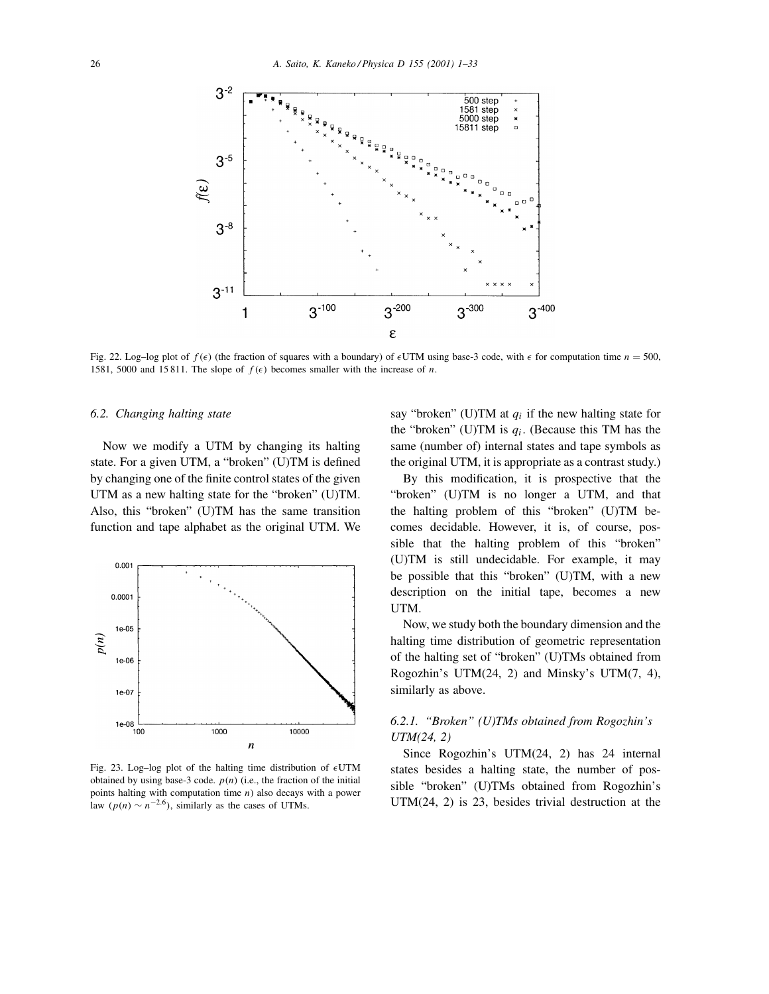

Fig. 22. Log–log plot of  $f(\epsilon)$  (the fraction of squares with a boundary) of  $\epsilon$ UTM using base-3 code, with  $\epsilon$  for computation time  $n = 500$ , 1581, 5000 and 15 811. The slope of  $f(\epsilon)$  becomes smaller with the increase of n.

### *6.2. Changing halting state*

Now we modify a UTM by changing its halting state. For a given UTM, a "broken" (U)TM is defined by changing one of the finite control states of the given UTM as a new halting state for the "broken" (U)TM. Also, this "broken" (U)TM has the same transition function and tape alphabet as the original UTM. We



Fig. 23. Log-log plot of the halting time distribution of  $\epsilon$ UTM obtained by using base-3 code.  $p(n)$  (i.e., the fraction of the initial points halting with computation time  $n$ ) also decays with a power law ( $p(n) \sim n^{-2.6}$ ), similarly as the cases of UTMs.

say "broken" (U)TM at  $q_i$  if the new halting state for the "broken" (U)TM is  $q_i$ . (Because this TM has the same (number of) internal states and tape symbols as the original UTM, it is appropriate as a contrast study.)

By this modification, it is prospective that the "broken" (U)TM is no longer a UTM, and that the halting problem of this "broken" (U)TM becomes decidable. However, it is, of course, possible that the halting problem of this "broken" (U)TM is still undecidable. For example, it may be possible that this "broken" (U)TM, with a new description on the initial tape, becomes a new UTM.

Now, we study both the boundary dimension and the halting time distribution of geometric representation of the halting set of "broken" (U)TMs obtained from Rogozhin's UTM(24, 2) and Minsky's UTM(7, 4), similarly as above.

# *6.2.1. "Broken" (U)TMs obtained from Rogozhin's UTM(24, 2)*

Since Rogozhin's UTM(24, 2) has 24 internal states besides a halting state, the number of possible "broken" (U)TMs obtained from Rogozhin's UTM(24, 2) is 23, besides trivial destruction at the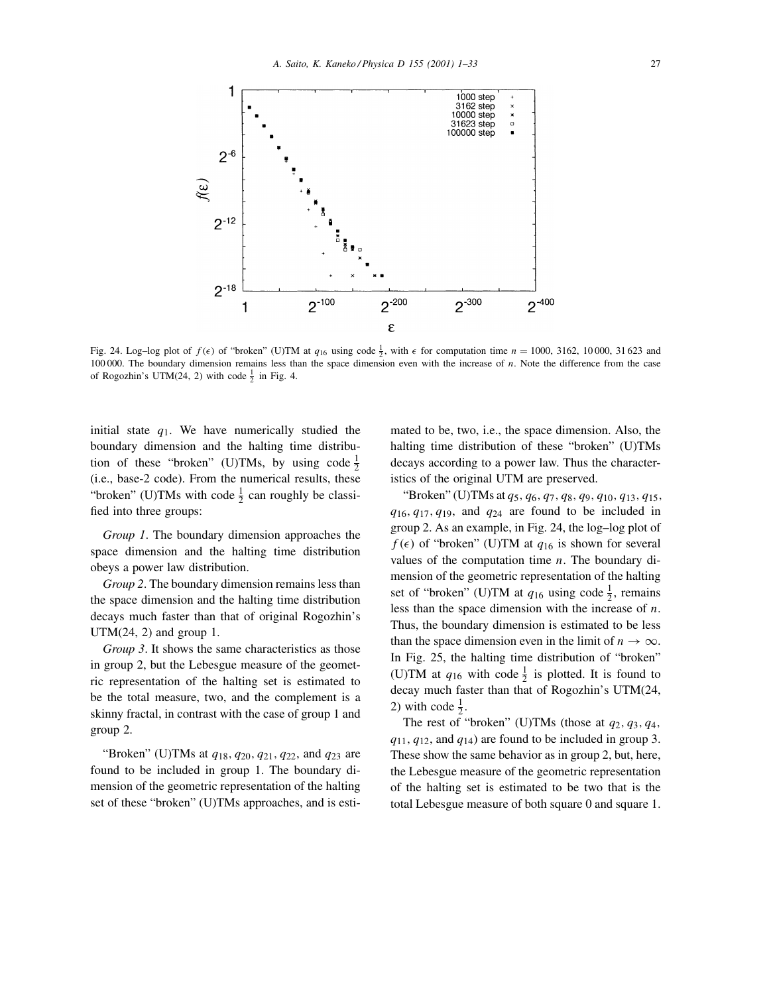

Fig. 24. Log–log plot of  $f(\epsilon)$  of "broken" (U)TM at  $q_{16}$  using code  $\frac{1}{2}$ , with  $\epsilon$  for computation time  $n = 1000$ , 3162, 10000, 31623 and 100 000. The boundary dimension remains less than the space dimension even with the increase of  $n$ . Note the difference from the case of Rogozhin's UTM(24, 2) with code  $\frac{1}{2}$  in Fig. 4.

initial state  $q_1$ . We have numerically studied the boundary dimension and the halting time distribution of these "broken" (U)TMs, by using code  $\frac{1}{2}$ (i.e., base-2 code). From the numerical results, these "broken" (U)TMs with code  $\frac{1}{2}$  can roughly be classified into three groups:

*Group 1*. The boundary dimension approaches the space dimension and the halting time distribution obeys a power law distribution.

*Group 2*. The boundary dimension remains less than the space dimension and the halting time distribution decays much faster than that of original Rogozhin's  $UTM(24, 2)$  and group 1.

*Group 3*. It shows the same characteristics as those in group 2, but the Lebesgue measure of the geometric representation of the halting set is estimated to be the total measure, two, and the complement is a skinny fractal, in contrast with the case of group 1 and group 2.

"Broken" (U)TMs at  $q_{18}$ ,  $q_{20}$ ,  $q_{21}$ ,  $q_{22}$ , and  $q_{23}$  are found to be included in group 1. The boundary dimension of the geometric representation of the halting set of these "broken" (U)TMs approaches, and is esti-

mated to be, two, i.e., the space dimension. Also, the halting time distribution of these "broken" (U)TMs decays according to a power law. Thus the characteristics of the original UTM are preserved.

"Broken" (U)TMs at  $q_5$ ,  $q_6$ ,  $q_7$ ,  $q_8$ ,  $q_9$ ,  $q_{10}$ ,  $q_{13}$ ,  $q_{15}$ ,  $q_{16}, q_{17}, q_{19}$ , and  $q_{24}$  are found to be included in group 2. As an example, in Fig. 24, the log–log plot of  $f(\epsilon)$  of "broken" (U)TM at  $q_{16}$  is shown for several values of the computation time  $n$ . The boundary dimension of the geometric representation of the halting set of "broken" (U)TM at  $q_{16}$  using code  $\frac{1}{2}$ , remains less than the space dimension with the increase of  $n$ . Thus, the boundary dimension is estimated to be less than the space dimension even in the limit of  $n \to \infty$ . In Fig. 25, the halting time distribution of "broken" (U)TM at  $q_{16}$  with code  $\frac{1}{2}$  is plotted. It is found to decay much faster than that of Rogozhin's UTM(24, 2) with code  $\frac{1}{2}$ .

The rest of "broken" (U)TMs (those at  $q_2$ ,  $q_3$ ,  $q_4$ ,  $q_{11}, q_{12}$ , and  $q_{14}$ ) are found to be included in group 3. These show the same behavior as in group 2, but, here, the Lebesgue measure of the geometric representation of the halting set is estimated to be two that is the total Lebesgue measure of both square 0 and square 1.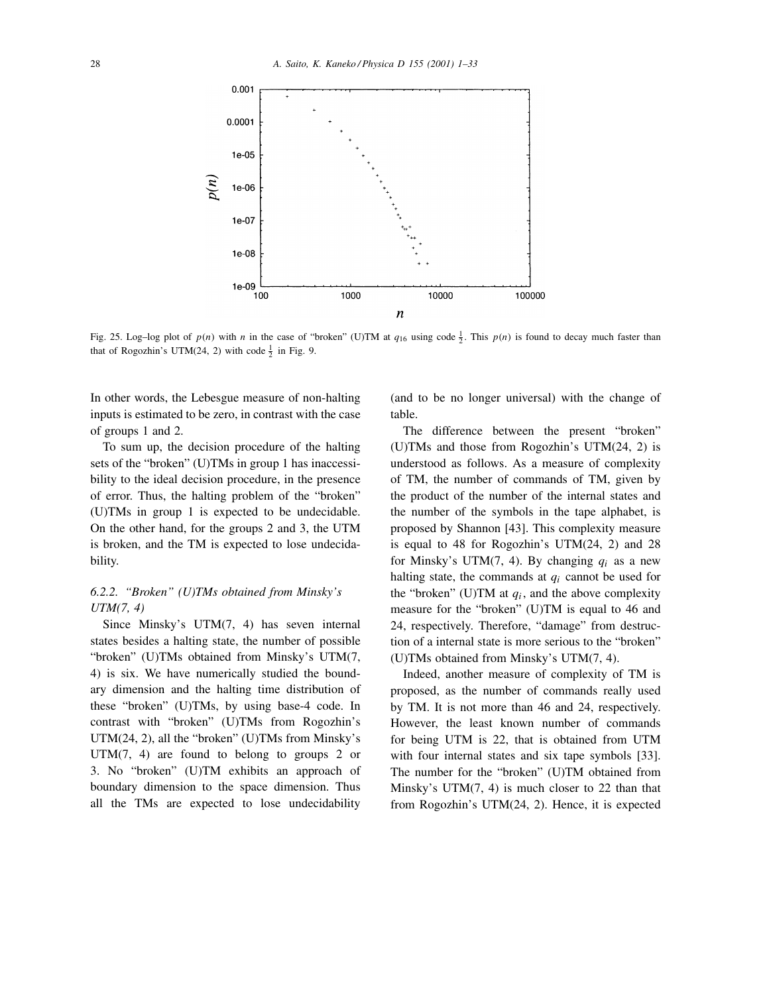

Fig. 25. Log–log plot of  $p(n)$  with n in the case of "broken" (U)TM at  $q_{16}$  using code  $\frac{1}{2}$ . This  $p(n)$  is found to decay much faster than that of Rogozhin's UTM(24, 2) with code  $\frac{1}{2}$  in Fig. 9.

In other words, the Lebesgue measure of non-halting inputs is estimated to be zero, in contrast with the case of groups 1 and 2.

To sum up, the decision procedure of the halting sets of the "broken" (U)TMs in group 1 has inaccessibility to the ideal decision procedure, in the presence of error. Thus, the halting problem of the "broken" (U)TMs in group 1 is expected to be undecidable. On the other hand, for the groups 2 and 3, the UTM is broken, and the TM is expected to lose undecidability.

# *6.2.2. "Broken" (U)TMs obtained from Minsky's UTM(7, 4)*

Since Minsky's UTM(7, 4) has seven internal states besides a halting state, the number of possible "broken" (U)TMs obtained from Minsky's UTM(7, 4) is six. We have numerically studied the boundary dimension and the halting time distribution of these "broken" (U)TMs, by using base-4 code. In contrast with "broken" (U)TMs from Rogozhin's UTM(24, 2), all the "broken" (U)TMs from Minsky's UTM(7, 4) are found to belong to groups 2 or 3. No "broken" (U)TM exhibits an approach of boundary dimension to the space dimension. Thus all the TMs are expected to lose undecidability

(and to be no longer universal) with the change of table.

The difference between the present "broken" (U)TMs and those from Rogozhin's UTM(24, 2) is understood as follows. As a measure of complexity of TM, the number of commands of TM, given by the product of the number of the internal states and the number of the symbols in the tape alphabet, is proposed by Shannon [43]. This complexity measure is equal to 48 for Rogozhin's UTM(24, 2) and 28 for Minsky's UTM(7, 4). By changing  $q_i$  as a new halting state, the commands at  $q_i$  cannot be used for the "broken" (U)TM at  $q_i$ , and the above complexity measure for the "broken" (U)TM is equal to 46 and 24, respectively. Therefore, "damage" from destruction of a internal state is more serious to the "broken" (U)TMs obtained from Minsky's UTM(7, 4).

Indeed, another measure of complexity of TM is proposed, as the number of commands really used by TM. It is not more than 46 and 24, respectively. However, the least known number of commands for being UTM is 22, that is obtained from UTM with four internal states and six tape symbols [33]. The number for the "broken" (U)TM obtained from Minsky's UTM(7, 4) is much closer to 22 than that from Rogozhin's UTM(24, 2). Hence, it is expected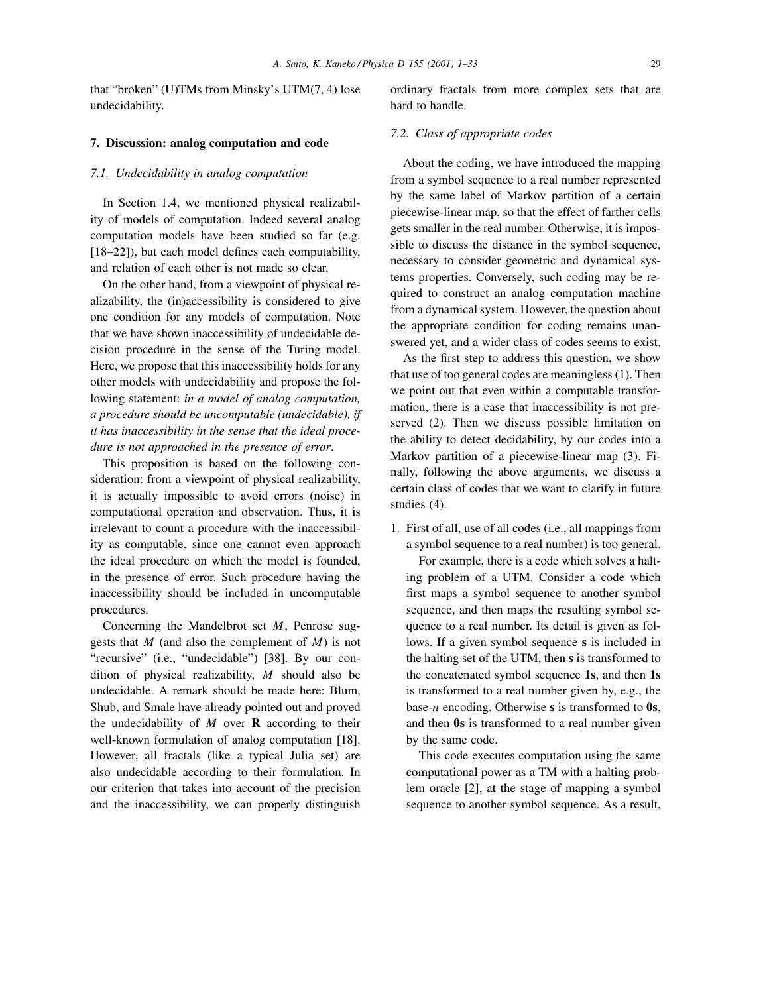that "broken" (U)TMs from Minsky's UTM(7, 4) lose undecidability.

#### **7. Discussion: analog computation and code**

### *7.1. Undecidability in analog computation*

In Section 1.4, we mentioned physical realizability of models of computation. Indeed several analog computation models have been studied so far (e.g. [18–22]), but each model defines each computability, and relation of each other is not made so clear.

On the other hand, from a viewpoint of physical realizability, the (in)accessibility is considered to give one condition for any models of computation. Note that we have shown inaccessibility of undecidable decision procedure in the sense of the Turing model. Here, we propose that this inaccessibility holds for any other models with undecidability and propose the following statement: *in a model of analog computation, a procedure should be uncomputable (undecidable), if it has inaccessibility in the sense that the ideal procedure is not approached in the presence of error*.

This proposition is based on the following consideration: from a viewpoint of physical realizability, it is actually impossible to avoid errors (noise) in computational operation and observation. Thus, it is irrelevant to count a procedure with the inaccessibility as computable, since one cannot even approach the ideal procedure on which the model is founded, in the presence of error. Such procedure having the inaccessibility should be included in uncomputable procedures.

Concerning the Mandelbrot set M, Penrose suggests that  $M$  (and also the complement of  $M$ ) is not "recursive" (i.e., "undecidable") [38]. By our condition of physical realizability, M should also be undecidable. A remark should be made here: Blum, Shub, and Smale have already pointed out and proved the undecidability of  $M$  over  $\bf{R}$  according to their well-known formulation of analog computation [18]. However, all fractals (like a typical Julia set) are also undecidable according to their formulation. In our criterion that takes into account of the precision and the inaccessibility, we can properly distinguish

ordinary fractals from more complex sets that are hard to handle.

### *7.2. Class of appropriate codes*

About the coding, we have introduced the mapping from a symbol sequence to a real number represented by the same label of Markov partition of a certain piecewise-linear map, so that the effect of farther cells gets smaller in the real number. Otherwise, it is impossible to discuss the distance in the symbol sequence, necessary to consider geometric and dynamical systems properties. Conversely, such coding may be required to construct an analog computation machine from a dynamical system. However, the question about the appropriate condition for coding remains unanswered yet, and a wider class of codes seems to exist.

As the first step to address this question, we show that use of too general codes are meaningless (1). Then we point out that even within a computable transformation, there is a case that inaccessibility is not preserved (2). Then we discuss possible limitation on the ability to detect decidability, by our codes into a Markov partition of a piecewise-linear map (3). Finally, following the above arguments, we discuss a certain class of codes that we want to clarify in future studies (4).

1. First of all, use of all codes (i.e., all mappings from a symbol sequence to a real number) is too general.

For example, there is a code which solves a halting problem of a UTM. Consider a code which first maps a symbol sequence to another symbol sequence, and then maps the resulting symbol sequence to a real number. Its detail is given as follows. If a given symbol sequence **s** is included in the halting set of the UTM, then **s** is transformed to the concatenated symbol sequence **1s**, and then **1s** is transformed to a real number given by, e.g., the base-n encoding. Otherwise **s** is transformed to **0s**, and then **0s** is transformed to a real number given by the same code.

This code executes computation using the same computational power as a TM with a halting problem oracle [2], at the stage of mapping a symbol sequence to another symbol sequence. As a result,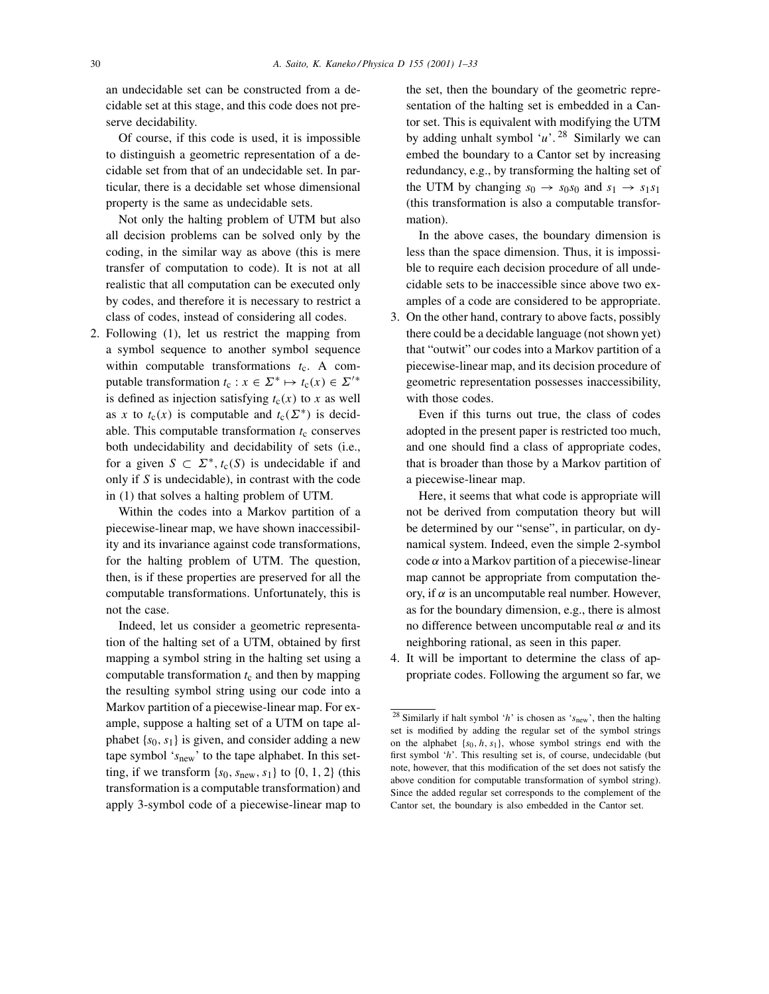an undecidable set can be constructed from a decidable set at this stage, and this code does not preserve decidability.

Of course, if this code is used, it is impossible to distinguish a geometric representation of a decidable set from that of an undecidable set. In particular, there is a decidable set whose dimensional property is the same as undecidable sets.

Not only the halting problem of UTM but also all decision problems can be solved only by the coding, in the similar way as above (this is mere transfer of computation to code). It is not at all realistic that all computation can be executed only by codes, and therefore it is necessary to restrict a class of codes, instead of considering all codes.

2. Following (1), let us restrict the mapping from a symbol sequence to another symbol sequence within computable transformations  $t_c$ . A computable transformation  $t_c : x \in \Sigma^* \mapsto t_c(x) \in \Sigma'^*$ is defined as injection satisfying  $t_c(x)$  to x as well as x to  $t_c(x)$  is computable and  $t_c(\Sigma^*)$  is decidable. This computable transformation  $t_c$  conserves both undecidability and decidability of sets (i.e., for a given  $S \subset \Sigma^*$ ,  $t_c(S)$  is undecidable if and only if S is undecidable), in contrast with the code in (1) that solves a halting problem of UTM.

Within the codes into a Markov partition of a piecewise-linear map, we have shown inaccessibility and its invariance against code transformations, for the halting problem of UTM. The question, then, is if these properties are preserved for all the computable transformations. Unfortunately, this is not the case.

Indeed, let us consider a geometric representation of the halting set of a UTM, obtained by first mapping a symbol string in the halting set using a computable transformation  $t_c$  and then by mapping the resulting symbol string using our code into a Markov partition of a piecewise-linear map. For example, suppose a halting set of a UTM on tape alphabet  $\{s_0, s_1\}$  is given, and consider adding a new tape symbol ' $s_{\text{new}}$ ' to the tape alphabet. In this setting, if we transform  $\{s_0, s_{\text{new}}, s_1\}$  to  $\{0, 1, 2\}$  (this transformation is a computable transformation) and apply 3-symbol code of a piecewise-linear map to

the set, then the boundary of the geometric representation of the halting set is embedded in a Cantor set. This is equivalent with modifying the UTM by adding unhalt symbol  $\cdot u$ <sup>28</sup> Similarly we can embed the boundary to a Cantor set by increasing redundancy, e.g., by transforming the halting set of the UTM by changing  $s_0 \rightarrow s_0s_0$  and  $s_1 \rightarrow s_1s_1$ (this transformation is also a computable transformation).

In the above cases, the boundary dimension is less than the space dimension. Thus, it is impossible to require each decision procedure of all undecidable sets to be inaccessible since above two examples of a code are considered to be appropriate.

3. On the other hand, contrary to above facts, possibly there could be a decidable language (not shown yet) that "outwit" our codes into a Markov partition of a piecewise-linear map, and its decision procedure of geometric representation possesses inaccessibility, with those codes.

Even if this turns out true, the class of codes adopted in the present paper is restricted too much, and one should find a class of appropriate codes, that is broader than those by a Markov partition of a piecewise-linear map.

Here, it seems that what code is appropriate will not be derived from computation theory but will be determined by our "sense", in particular, on dynamical system. Indeed, even the simple 2-symbol code  $\alpha$  into a Markov partition of a piecewise-linear map cannot be appropriate from computation theory, if  $\alpha$  is an uncomputable real number. However, as for the boundary dimension, e.g., there is almost no difference between uncomputable real α and its neighboring rational, as seen in this paper.

4. It will be important to determine the class of appropriate codes. Following the argument so far, we

<sup>&</sup>lt;sup>28</sup> Similarly if halt symbol 'h' is chosen as ' $s_{\text{new}}$ ', then the halting set is modified by adding the regular set of the symbol strings on the alphabet  $\{s_0, h, s_1\}$ , whose symbol strings end with the first symbol 'h'. This resulting set is, of course, undecidable (but note, however, that this modification of the set does not satisfy the above condition for computable transformation of symbol string). Since the added regular set corresponds to the complement of the Cantor set, the boundary is also embedded in the Cantor set.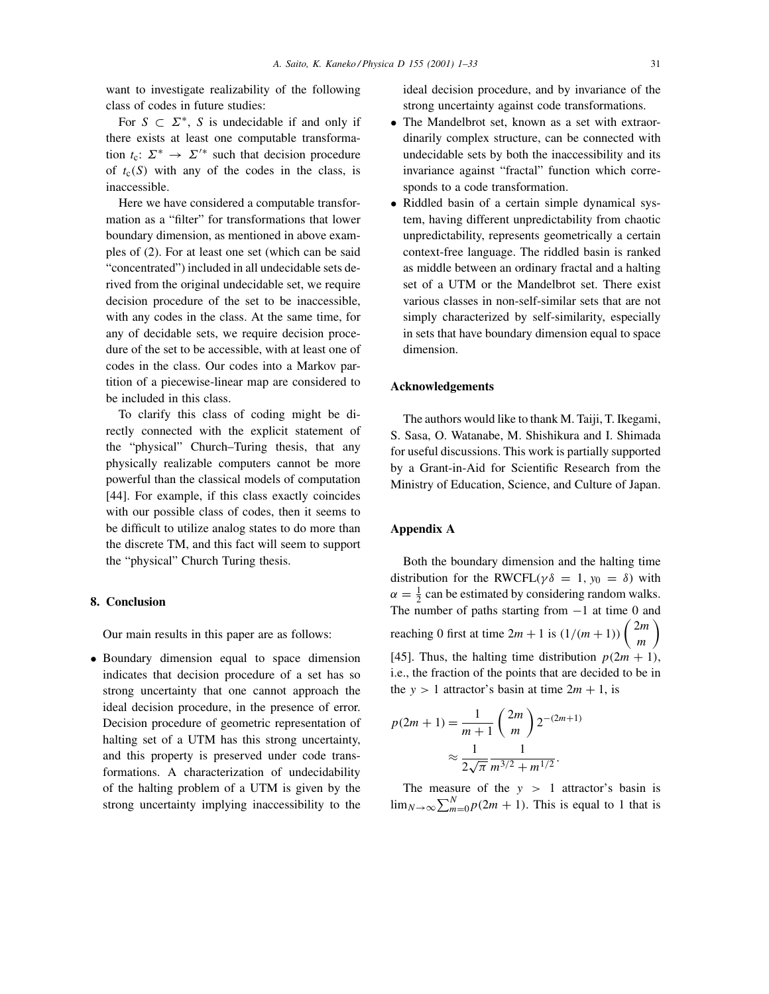want to investigate realizability of the following class of codes in future studies:

For  $S \subset \Sigma^*$ , S is undecidable if and only if there exists at least one computable transformation  $t_c$ :  $\Sigma^* \rightarrow \Sigma'^*$  such that decision procedure of  $t_c(S)$  with any of the codes in the class, is inaccessible.

Here we have considered a computable transformation as a "filter" for transformations that lower boundary dimension, as mentioned in above examples of (2). For at least one set (which can be said "concentrated") included in all undecidable sets derived from the original undecidable set, we require decision procedure of the set to be inaccessible, with any codes in the class. At the same time, for any of decidable sets, we require decision procedure of the set to be accessible, with at least one of codes in the class. Our codes into a Markov partition of a piecewise-linear map are considered to be included in this class.

To clarify this class of coding might be directly connected with the explicit statement of the "physical" Church–Turing thesis, that any physically realizable computers cannot be more powerful than the classical models of computation [44]. For example, if this class exactly coincides with our possible class of codes, then it seems to be difficult to utilize analog states to do more than the discrete TM, and this fact will seem to support the "physical" Church Turing thesis.

### **8. Conclusion**

Our main results in this paper are as follows:

• Boundary dimension equal to space dimension indicates that decision procedure of a set has so strong uncertainty that one cannot approach the ideal decision procedure, in the presence of error. Decision procedure of geometric representation of halting set of a UTM has this strong uncertainty, and this property is preserved under code transformations. A characterization of undecidability of the halting problem of a UTM is given by the strong uncertainty implying inaccessibility to the

ideal decision procedure, and by invariance of the strong uncertainty against code transformations.

- The Mandelbrot set, known as a set with extraordinarily complex structure, can be connected with undecidable sets by both the inaccessibility and its invariance against "fractal" function which corresponds to a code transformation.
- Riddled basin of a certain simple dynamical system, having different unpredictability from chaotic unpredictability, represents geometrically a certain context-free language. The riddled basin is ranked as middle between an ordinary fractal and a halting set of a UTM or the Mandelbrot set. There exist various classes in non-self-similar sets that are not simply characterized by self-similarity, especially in sets that have boundary dimension equal to space dimension.

# **Acknowledgements**

The authors would like to thank M. Taiji, T. Ikegami, S. Sasa, O. Watanabe, M. Shishikura and I. Shimada for useful discussions. This work is partially supported by a Grant-in-Aid for Scientific Research from the Ministry of Education, Science, and Culture of Japan.

### **Appendix A**

Both the boundary dimension and the halting time distribution for the RWCFL( $\gamma \delta = 1$ ,  $y_0 = \delta$ ) with  $\alpha = \frac{1}{2}$  can be estimated by considering random walks. The number of paths starting from  $-1$  at time 0 and reaching 0 first at time  $2m + 1$  is  $\left(\frac{1}{m} + 1\right) \left(\frac{2m}{m}\right)$  $\setminus$ [45]. Thus, the halting time distribution  $p(2m + 1)$ , i.e., the fraction of the points that are decided to be in the  $y > 1$  attractor's basin at time  $2m + 1$ , is

$$
p(2m + 1) = \frac{1}{m+1} \binom{2m}{m} 2^{-(2m+1)}
$$

$$
\approx \frac{1}{2\sqrt{\pi}} \frac{1}{m^{3/2} + m^{1/2}}.
$$

The measure of the  $y > 1$  attractor's basin is  $\lim_{N\to\infty}\sum_{m=0}^{N} p(2m + 1)$ . This is equal to 1 that is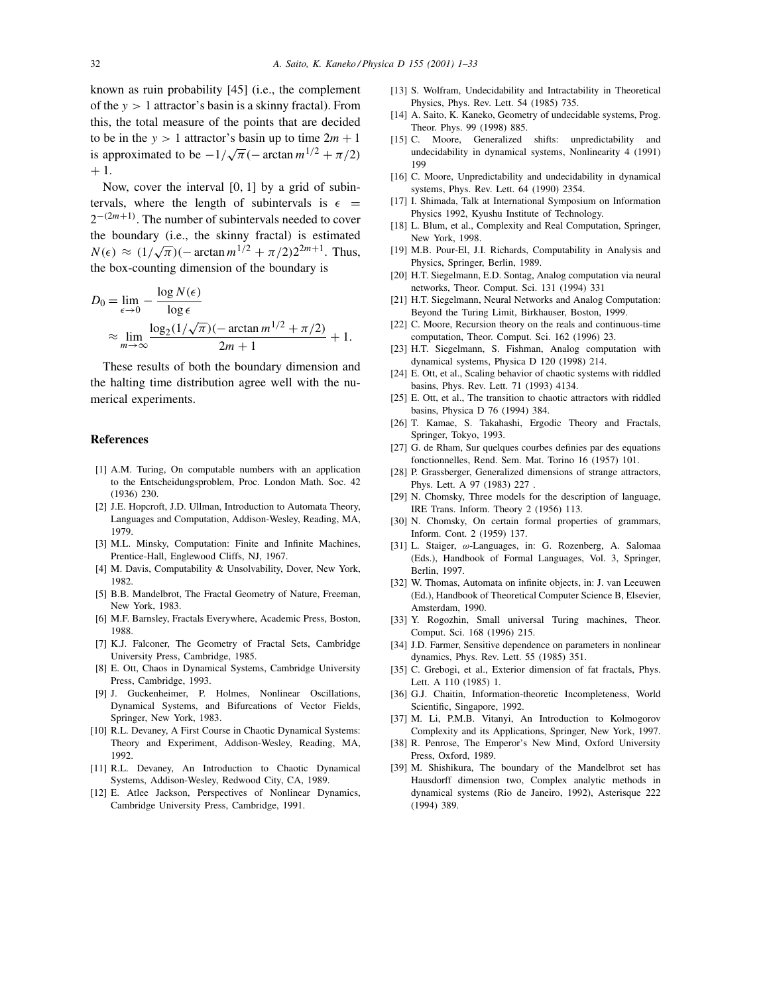known as ruin probability [45] (i.e., the complement of the  $y > 1$  attractor's basin is a skinny fractal). From this, the total measure of the points that are decided to be in the  $y > 1$  attractor's basin up to time  $2m + 1$ is approximated to be  $-1/\sqrt{\pi}$  (− arctan  $m^{1/2} + \pi/2$ )  $+1.$ 

Now, cover the interval [0, 1] by a grid of subintervals, where the length of subintervals is  $\epsilon$  =  $2^{-(2m+1)}$ . The number of subintervals needed to cover the boundary (i.e., the skinny fractal) is estimated  $N(\epsilon) \approx (1/\sqrt{\pi}) (-\arctan m^{1/2} + \pi/2) 2^{2m+1}$ . Thus, the box-counting dimension of the boundary is

$$
D_0 = \lim_{\epsilon \to 0} -\frac{\log N(\epsilon)}{\log \epsilon}
$$
  
 
$$
\approx \lim_{m \to \infty} \frac{\log_2(1/\sqrt{\pi})(-\arctan m^{1/2} + \pi/2)}{2m + 1} + 1.
$$

These results of both the boundary dimension and the halting time distribution agree well with the numerical experiments.

#### **References**

- [1] A.M. Turing, On computable numbers with an application to the Entscheidungsproblem, Proc. London Math. Soc. 42 (1936) 230.
- [2] J.E. Hopcroft, J.D. Ullman, Introduction to Automata Theory, Languages and Computation, Addison-Wesley, Reading, MA, 1979.
- [3] M.L. Minsky, Computation: Finite and Infinite Machines, Prentice-Hall, Englewood Cliffs, NJ, 1967.
- [4] M. Davis, Computability & Unsolvability, Dover, New York, 1982.
- [5] B.B. Mandelbrot, The Fractal Geometry of Nature, Freeman, New York, 1983.
- [6] M.F. Barnsley, Fractals Everywhere, Academic Press, Boston, 1988.
- [7] K.J. Falconer, The Geometry of Fractal Sets, Cambridge University Press, Cambridge, 1985.
- [8] E. Ott, Chaos in Dynamical Systems, Cambridge University Press, Cambridge, 1993.
- [9] J. Guckenheimer, P. Holmes, Nonlinear Oscillations, Dynamical Systems, and Bifurcations of Vector Fields, Springer, New York, 1983.
- [10] R.L. Devaney, A First Course in Chaotic Dynamical Systems: Theory and Experiment, Addison-Wesley, Reading, MA, 1992.
- [11] R.L. Devaney, An Introduction to Chaotic Dynamical Systems, Addison-Wesley, Redwood City, CA, 1989.
- [12] E. Atlee Jackson, Perspectives of Nonlinear Dynamics, Cambridge University Press, Cambridge, 1991.
- [13] S. Wolfram, Undecidability and Intractability in Theoretical Physics, Phys. Rev. Lett. 54 (1985) 735.
- [14] A. Saito, K. Kaneko, Geometry of undecidable systems, Prog. Theor. Phys. 99 (1998) 885.
- [15] C. Moore, Generalized shifts: unpredictability and undecidability in dynamical systems, Nonlinearity 4 (1991) 199
- [16] C. Moore, Unpredictability and undecidability in dynamical systems, Phys. Rev. Lett. 64 (1990) 2354.
- [17] I. Shimada, Talk at International Symposium on Information Physics 1992, Kyushu Institute of Technology.
- [18] L. Blum, et al., Complexity and Real Computation, Springer, New York, 1998.
- [19] M.B. Pour-El, J.I. Richards, Computability in Analysis and Physics, Springer, Berlin, 1989.
- [20] H.T. Siegelmann, E.D. Sontag, Analog computation via neural networks, Theor. Comput. Sci. 131 (1994) 331
- [21] H.T. Siegelmann, Neural Networks and Analog Computation: Beyond the Turing Limit, Birkhauser, Boston, 1999.
- [22] C. Moore, Recursion theory on the reals and continuous-time computation, Theor. Comput. Sci. 162 (1996) 23.
- [23] H.T. Siegelmann, S. Fishman, Analog computation with dynamical systems, Physica D 120 (1998) 214.
- [24] E. Ott, et al., Scaling behavior of chaotic systems with riddled basins, Phys. Rev. Lett. 71 (1993) 4134.
- [25] E. Ott, et al., The transition to chaotic attractors with riddled basins, Physica D 76 (1994) 384.
- [26] T. Kamae, S. Takahashi, Ergodic Theory and Fractals, Springer, Tokyo, 1993.
- [27] G. de Rham, Sur quelques courbes definies par des equations fonctionnelles, Rend. Sem. Mat. Torino 16 (1957) 101.
- [28] P. Grassberger, Generalized dimensions of strange attractors, Phys. Lett. A 97 (1983) 227 .
- [29] N. Chomsky, Three models for the description of language, IRE Trans. Inform. Theory 2 (1956) 113.
- [30] N. Chomsky, On certain formal properties of grammars, Inform. Cont. 2 (1959) 137.
- [31] L. Staiger, ω-Languages, in: G. Rozenberg, A. Salomaa (Eds.), Handbook of Formal Languages, Vol. 3, Springer, Berlin, 1997.
- [32] W. Thomas, Automata on infinite objects, in: J. van Leeuwen (Ed.), Handbook of Theoretical Computer Science B, Elsevier, Amsterdam, 1990.
- [33] Y. Rogozhin, Small universal Turing machines, Theor. Comput. Sci. 168 (1996) 215.
- [34] J.D. Farmer, Sensitive dependence on parameters in nonlinear dynamics, Phys. Rev. Lett. 55 (1985) 351.
- [35] C. Grebogi, et al., Exterior dimension of fat fractals, Phys. Lett. A 110 (1985) 1.
- [36] G.J. Chaitin, Information-theoretic Incompleteness, World Scientific, Singapore, 1992.
- [37] M. Li, P.M.B. Vitanyi, An Introduction to Kolmogorov Complexity and its Applications, Springer, New York, 1997.
- [38] R. Penrose, The Emperor's New Mind, Oxford University Press, Oxford, 1989.
- [39] M. Shishikura, The boundary of the Mandelbrot set has Hausdorff dimension two, Complex analytic methods in dynamical systems (Rio de Janeiro, 1992), Asterisque 222 (1994) 389.